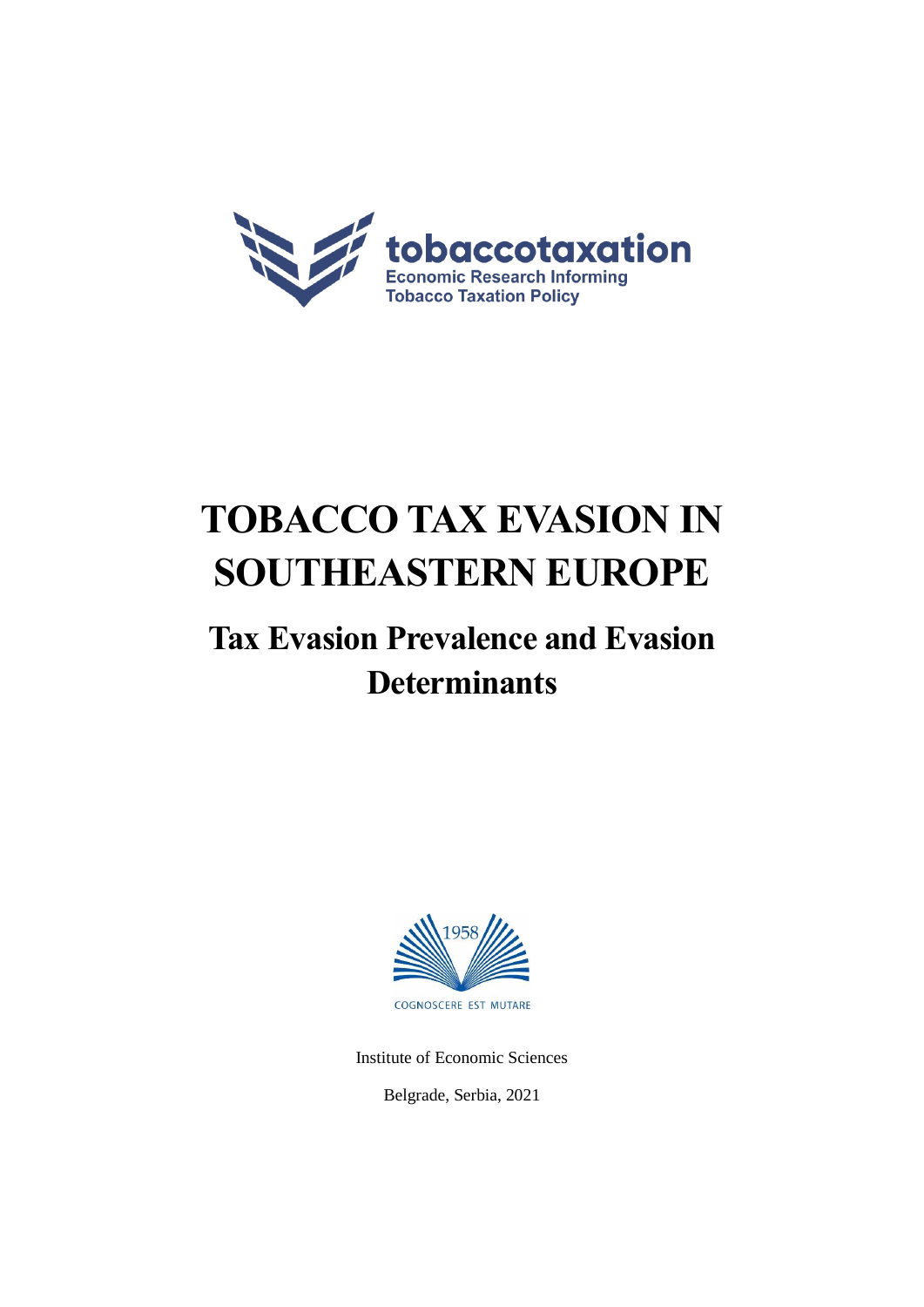

# **TOBACCO TAX EVASION IN SOUTHEASTERN EUROPE**

# **Tax Evasion Prevalence and Evasion Determinants**



Institute of Economic Sciences

Belgrade, Serbia, 2021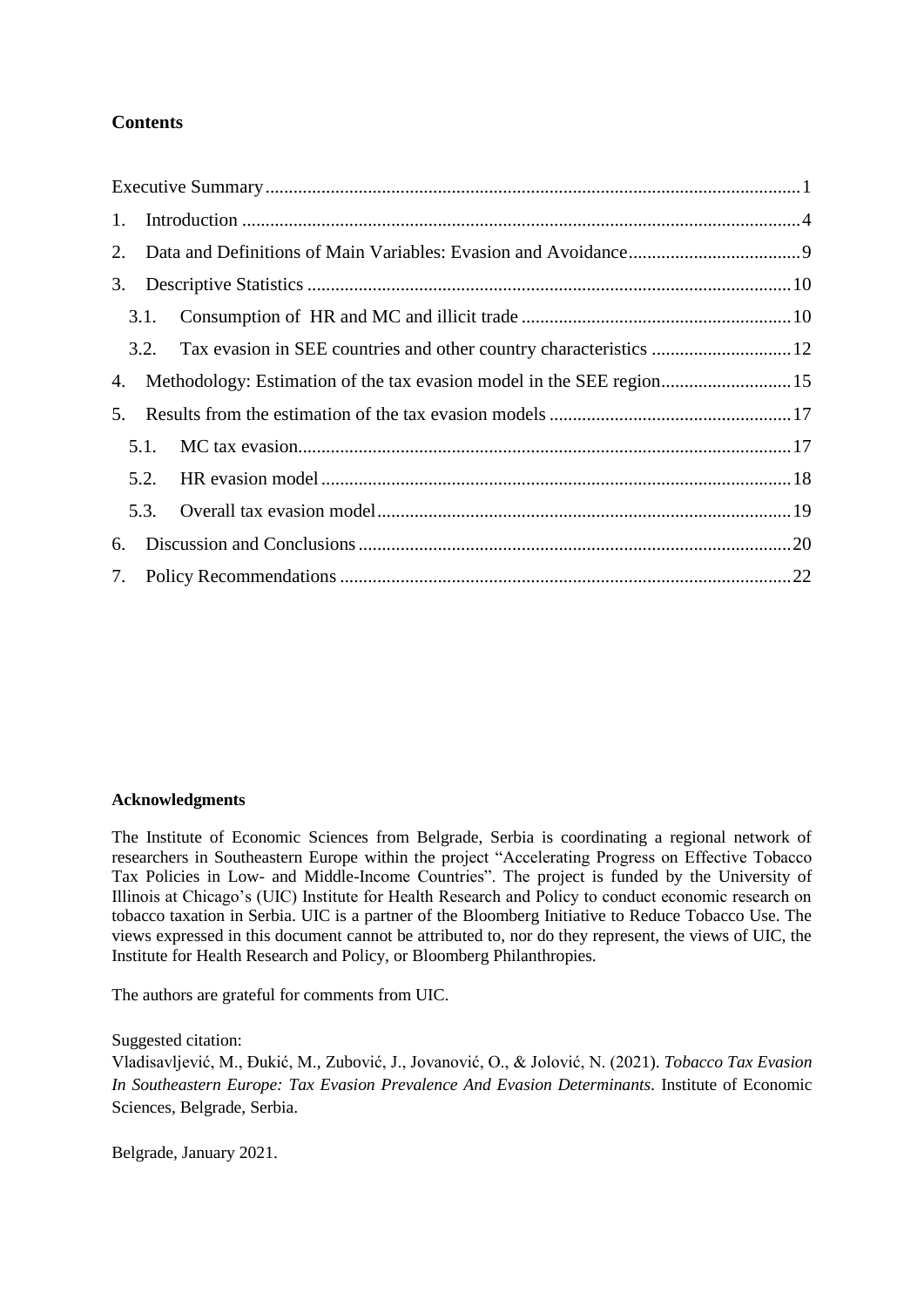# **Contents**

|    | 3.1. |                                                                          |  |
|----|------|--------------------------------------------------------------------------|--|
|    |      | 3.2. Tax evasion in SEE countries and other country characteristics  12  |  |
|    |      | 4. Methodology: Estimation of the tax evasion model in the SEE region 15 |  |
|    |      |                                                                          |  |
|    | 5.1. |                                                                          |  |
|    | 5.2. |                                                                          |  |
|    |      |                                                                          |  |
| 6. |      |                                                                          |  |
|    |      |                                                                          |  |

#### **Acknowledgments**

The Institute of Economic Sciences from Belgrade, Serbia is coordinating a regional network of researchers in Southeastern Europe within the project "Accelerating Progress on Effective Tobacco Tax Policies in Low- and Middle-Income Countries". The project is funded by the University of Illinois at Chicago's (UIC) Institute for Health Research and Policy to conduct economic research on tobacco taxation in Serbia. UIC is a partner of the Bloomberg Initiative to Reduce Tobacco Use. The views expressed in this document cannot be attributed to, nor do they represent, the views of UIC, the Institute for Health Research and Policy, or Bloomberg Philanthropies.

The authors are grateful for comments from UIC.

Suggested citation:

Vladisavljević, M., Đukić, M., Zubović, J., Jovanović, O., & Jolović, N. (2021). *Tobacco Tax Evasion In Southeastern Europe: Tax Evasion Prevalence And Evasion Determinants.* Institute of Economic Sciences, Belgrade, Serbia.

Belgrade, January 2021.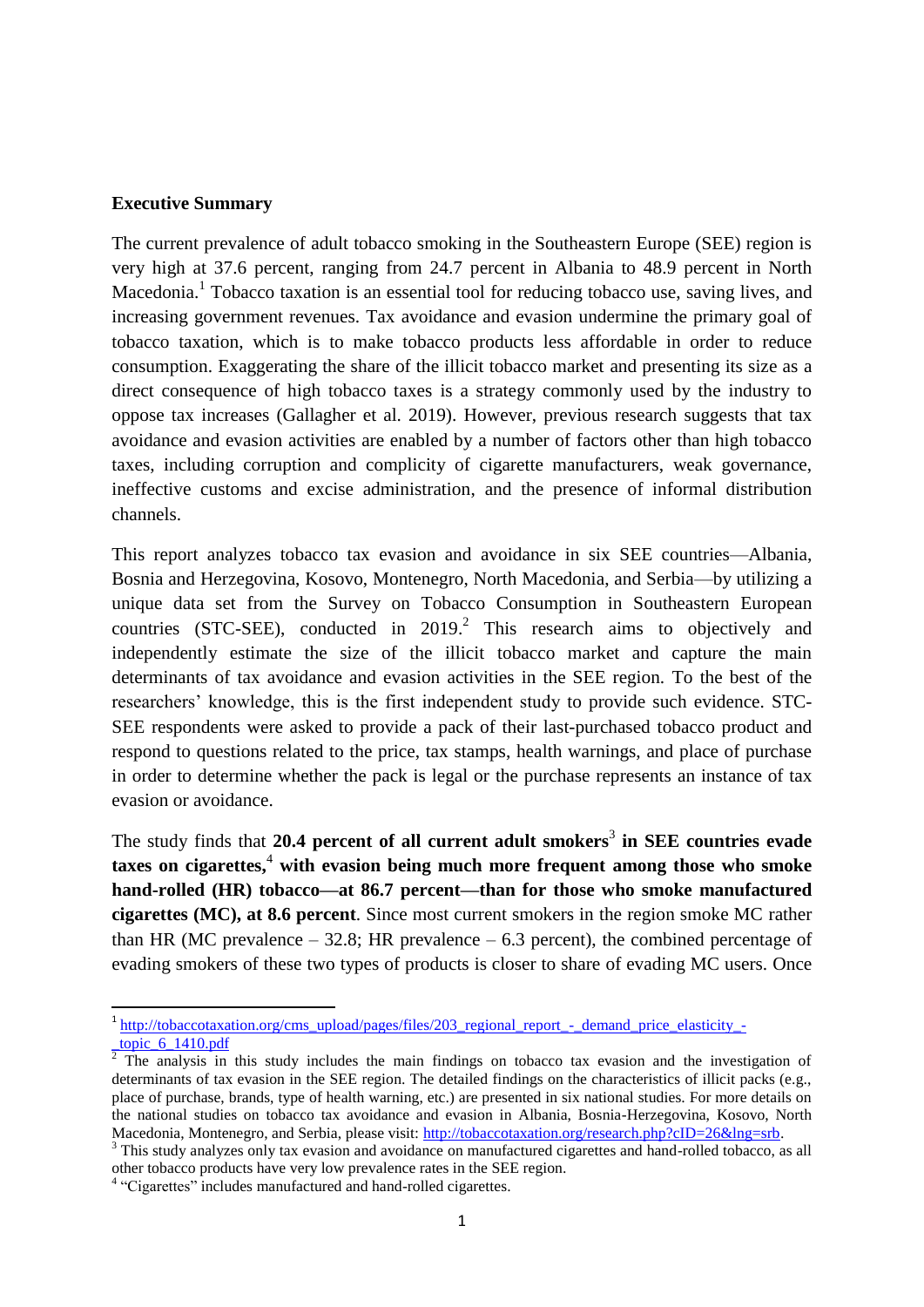#### <span id="page-2-0"></span>**Executive Summary**

The current prevalence of adult tobacco smoking in the Southeastern Europe (SEE) region is very high at 37.6 percent, ranging from 24.7 percent in Albania to 48.9 percent in North Macedonia.<sup>1</sup> Tobacco taxation is an essential tool for reducing tobacco use, saving lives, and increasing government revenues. Tax avoidance and evasion undermine the primary goal of tobacco taxation, which is to make tobacco products less affordable in order to reduce consumption. Exaggerating the share of the illicit tobacco market and presenting its size as a direct consequence of high tobacco taxes is a strategy commonly used by the industry to oppose tax increases (Gallagher et al. 2019). However, previous research suggests that tax avoidance and evasion activities are enabled by a number of factors other than high tobacco taxes, including corruption and complicity of cigarette manufacturers, weak governance, ineffective customs and excise administration, and the presence of informal distribution channels.

This report analyzes tobacco tax evasion and avoidance in six SEE countries—Albania, Bosnia and Herzegovina, Kosovo, Montenegro, North Macedonia, and Serbia—by utilizing a unique data set from the Survey on Tobacco Consumption in Southeastern European countries (STC-SEE), conducted in  $2019<sup>2</sup>$  This research aims to objectively and independently estimate the size of the illicit tobacco market and capture the main determinants of tax avoidance and evasion activities in the SEE region. To the best of the researchers' knowledge, this is the first independent study to provide such evidence. STC-SEE respondents were asked to provide a pack of their last-purchased tobacco product and respond to questions related to the price, tax stamps, health warnings, and place of purchase in order to determine whether the pack is legal or the purchase represents an instance of tax evasion or avoidance.

The study finds that 20.4 percent of all current adult smokers<sup>3</sup> in SEE countries evade **taxes on cigarettes,** <sup>4</sup> **with evasion being much more frequent among those who smoke hand-rolled (HR) tobacco—at 86.7 percent—than for those who smoke manufactured cigarettes (MC), at 8.6 percent**. Since most current smokers in the region smoke MC rather than HR (MC prevalence  $-32.8$ ; HR prevalence  $-6.3$  percent), the combined percentage of evading smokers of these two types of products is closer to share of evading MC users. Once

<sup>&</sup>lt;sup>1</sup> [http://tobaccotaxation.org/cms\\_upload/pages/files/203\\_regional\\_report\\_-\\_demand\\_price\\_elasticity\\_-](http://tobaccotaxation.org/cms_upload/pages/files/203_regional_report_-_demand_price_elasticity_-_topic_6_1410.pdf) [\\_topic\\_6\\_1410.pdf](http://tobaccotaxation.org/cms_upload/pages/files/203_regional_report_-_demand_price_elasticity_-_topic_6_1410.pdf)

 $2$  The analysis in this study includes the main findings on tobacco tax evasion and the investigation of determinants of tax evasion in the SEE region. The detailed findings on the characteristics of illicit packs (e.g., place of purchase, brands, type of health warning, etc.) are presented in six national studies. For more details on the national studies on tobacco tax avoidance and evasion in Albania, Bosnia-Herzegovina, Kosovo, North Macedonia, Montenegro, and Serbia, please visit: [http://tobaccotaxation.org/research.php?cID=26&lng=srb.](http://tobaccotaxation.org/research.php?cID=26&lng=srb)

<sup>&</sup>lt;sup>3</sup> This study analyzes only tax evasion and avoidance on manufactured cigarettes and hand-rolled tobacco, as all other tobacco products have very low prevalence rates in the SEE region.

<sup>&</sup>lt;sup>4</sup> "Cigarettes" includes manufactured and hand-rolled cigarettes.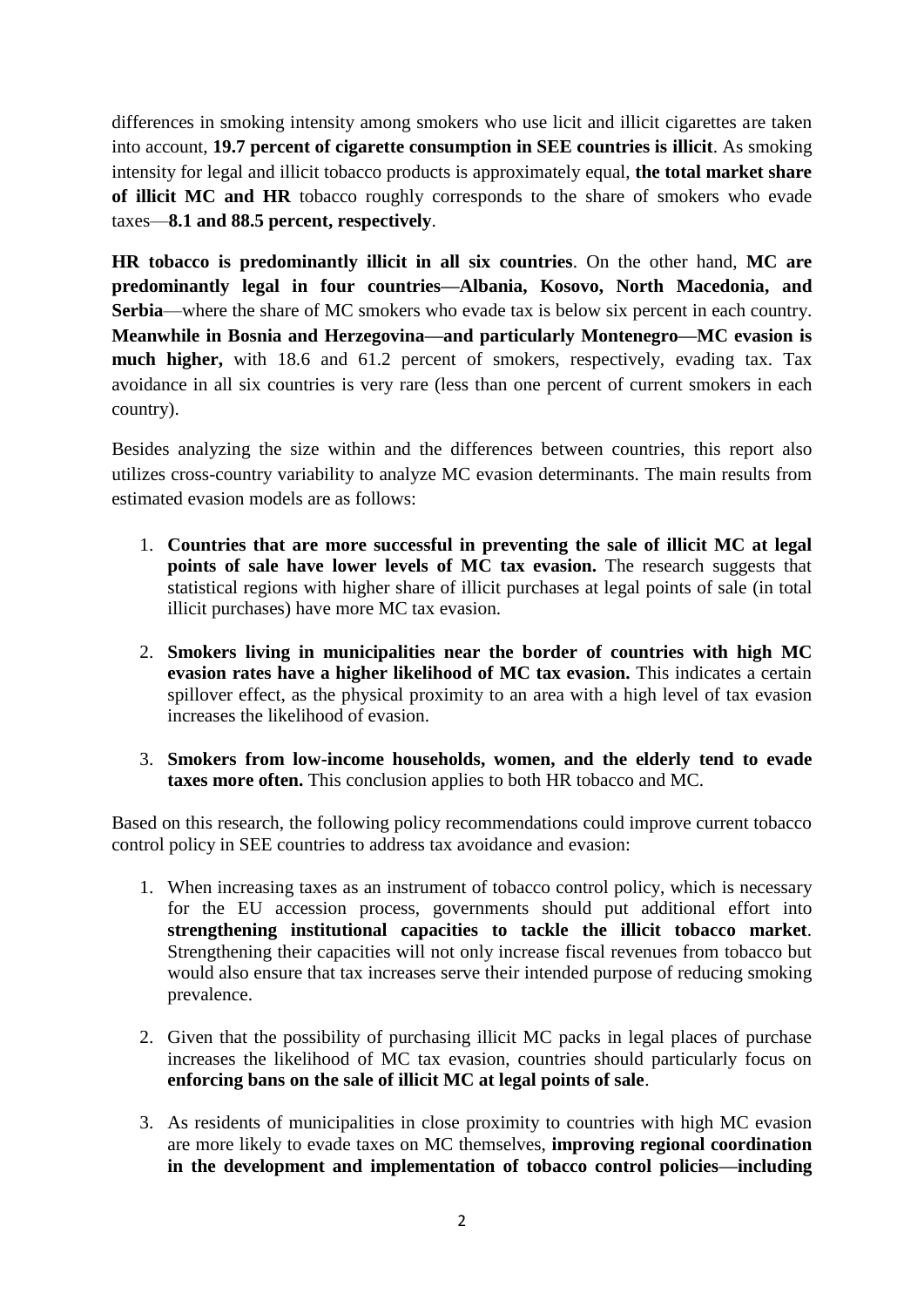differences in smoking intensity among smokers who use licit and illicit cigarettes are taken into account, **19.7 percent of cigarette consumption in SEE countries is illicit**. As smoking intensity for legal and illicit tobacco products is approximately equal, **the total market share of illicit MC and HR** tobacco roughly corresponds to the share of smokers who evade taxes—**8.1 and 88.5 percent, respectively**.

**HR tobacco is predominantly illicit in all six countries**. On the other hand, **MC are predominantly legal in four countries—Albania, Kosovo, North Macedonia, and Serbia**—where the share of MC smokers who evade tax is below six percent in each country. **Meanwhile in Bosnia and Herzegovina—and particularly Montenegro—MC evasion is much higher,** with 18.6 and 61.2 percent of smokers, respectively, evading tax. Tax avoidance in all six countries is very rare (less than one percent of current smokers in each country).

Besides analyzing the size within and the differences between countries, this report also utilizes cross-country variability to analyze MC evasion determinants. The main results from estimated evasion models are as follows:

- 1. **Countries that are more successful in preventing the sale of illicit MC at legal points of sale have lower levels of MC tax evasion.** The research suggests that statistical regions with higher share of illicit purchases at legal points of sale (in total illicit purchases) have more MC tax evasion.
- 2. **Smokers living in municipalities near the border of countries with high MC evasion rates have a higher likelihood of MC tax evasion.** This indicates a certain spillover effect, as the physical proximity to an area with a high level of tax evasion increases the likelihood of evasion.
- 3. **Smokers from low-income households, women, and the elderly tend to evade taxes more often.** This conclusion applies to both HR tobacco and MC.

Based on this research, the following policy recommendations could improve current tobacco control policy in SEE countries to address tax avoidance and evasion:

- 1. When increasing taxes as an instrument of tobacco control policy, which is necessary for the EU accession process, governments should put additional effort into **strengthening institutional capacities to tackle the illicit tobacco market**. Strengthening their capacities will not only increase fiscal revenues from tobacco but would also ensure that tax increases serve their intended purpose of reducing smoking prevalence.
- 2. Given that the possibility of purchasing illicit MC packs in legal places of purchase increases the likelihood of MC tax evasion, countries should particularly focus on **enforcing bans on the sale of illicit MC at legal points of sale**.
- 3. As residents of municipalities in close proximity to countries with high MC evasion are more likely to evade taxes on MC themselves, **improving regional coordination in the development and implementation of tobacco control policies—including**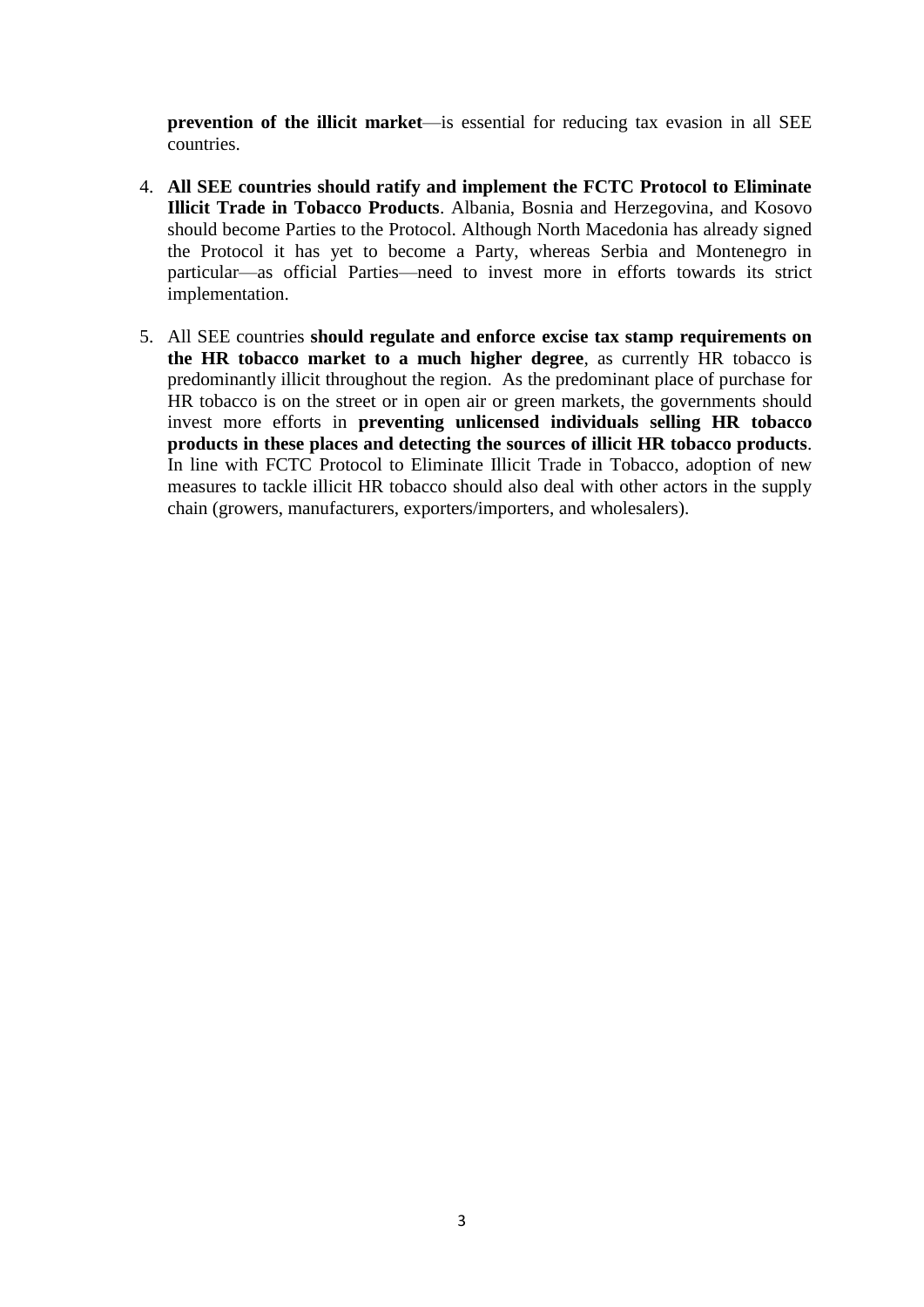**prevention of the illicit market**—is essential for reducing tax evasion in all SEE countries.

- 4. **All SEE countries should ratify and implement the FCTC Protocol to Eliminate Illicit Trade in Tobacco Products**. Albania, Bosnia and Herzegovina, and Kosovo should become Parties to the Protocol. Although North Macedonia has already signed the Protocol it has yet to become a Party, whereas Serbia and Montenegro in particular—as official Parties—need to invest more in efforts towards its strict implementation.
- 5. All SEE countries **should regulate and enforce excise tax stamp requirements on the HR tobacco market to a much higher degree**, as currently HR tobacco is predominantly illicit throughout the region. As the predominant place of purchase for HR tobacco is on the street or in open air or green markets, the governments should invest more efforts in **preventing unlicensed individuals selling HR tobacco products in these places and detecting the sources of illicit HR tobacco products**. In line with FCTC Protocol to Eliminate Illicit Trade in Tobacco, adoption of new measures to tackle illicit HR tobacco should also deal with other actors in the supply chain (growers, manufacturers, exporters/importers, and wholesalers).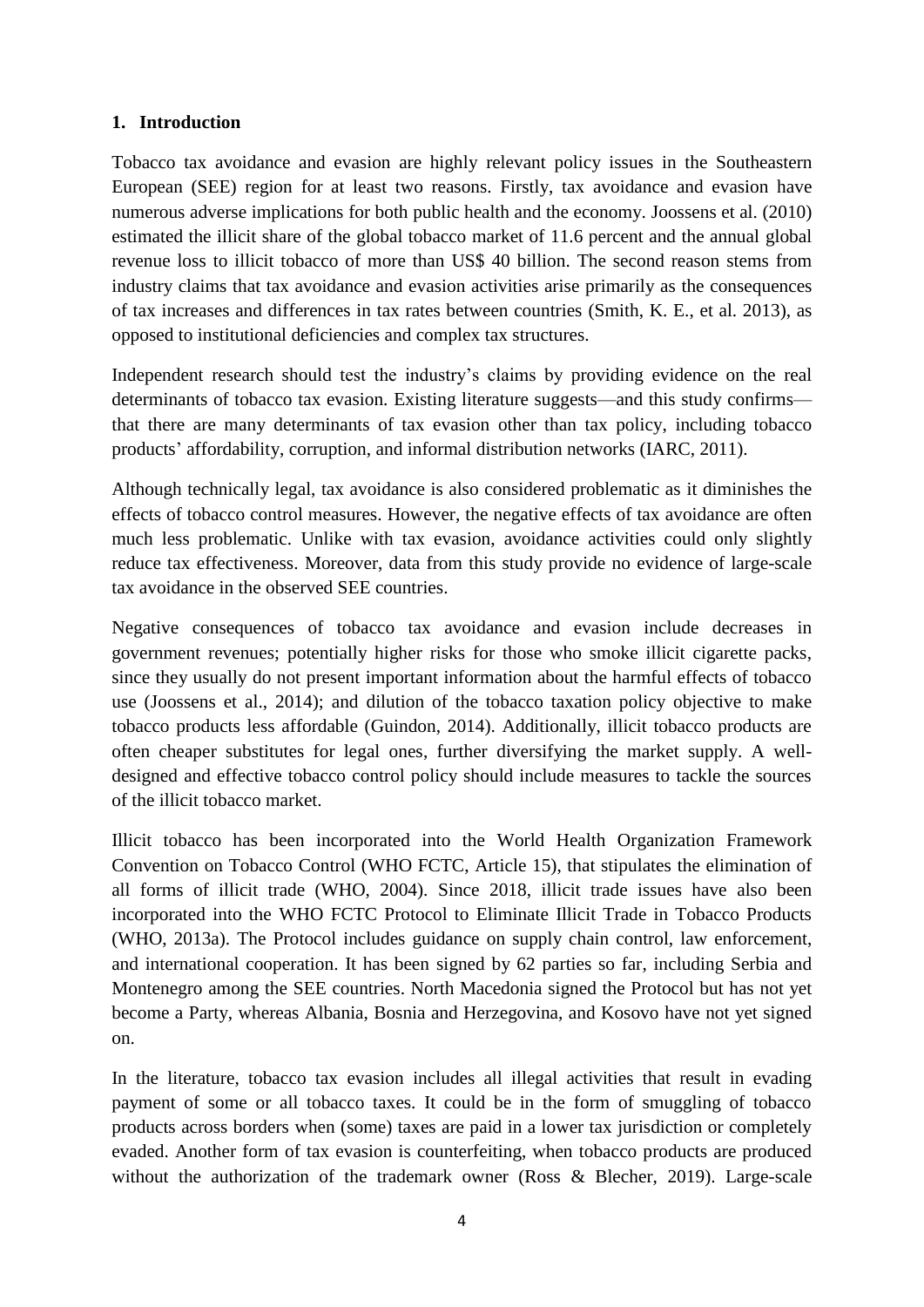# <span id="page-5-0"></span>**1. Introduction**

Tobacco tax avoidance and evasion are highly relevant policy issues in the Southeastern European (SEE) region for at least two reasons. Firstly, tax avoidance and evasion have numerous adverse implications for both public health and the economy. Joossens et al. (2010) estimated the illicit share of the global tobacco market of 11.6 percent and the annual global revenue loss to illicit tobacco of more than US\$ 40 billion. The second reason stems from industry claims that tax avoidance and evasion activities arise primarily as the consequences of tax increases and differences in tax rates between countries (Smith, K. E., et al. 2013), as opposed to institutional deficiencies and complex tax structures.

Independent research should test the industry's claims by providing evidence on the real determinants of tobacco tax evasion. Existing literature suggests—and this study confirms that there are many determinants of tax evasion other than tax policy, including tobacco products' affordability, corruption, and informal distribution networks (IARC, 2011).

Although technically legal, tax avoidance is also considered problematic as it diminishes the effects of tobacco control measures. However, the negative effects of tax avoidance are often much less problematic. Unlike with tax evasion, avoidance activities could only slightly reduce tax effectiveness. Moreover, data from this study provide no evidence of large-scale tax avoidance in the observed SEE countries.

Negative consequences of tobacco tax avoidance and evasion include decreases in government revenues; potentially higher risks for those who smoke illicit cigarette packs, since they usually do not present important information about the harmful effects of tobacco use (Joossens et al., 2014); and dilution of the tobacco taxation policy objective to make tobacco products less affordable (Guindon, 2014). Additionally, illicit tobacco products are often cheaper substitutes for legal ones, further diversifying the market supply. A welldesigned and effective tobacco control policy should include measures to tackle the sources of the illicit tobacco market.

Illicit tobacco has been incorporated into the World Health Organization Framework Convention on Tobacco Control (WHO FCTC, Article 15), that stipulates the elimination of all forms of illicit trade (WHO, 2004). Since 2018, illicit trade issues have also been incorporated into the WHO FCTC Protocol to Eliminate Illicit Trade in Tobacco Products (WHO, 2013a). The Protocol includes guidance on supply chain control, law enforcement, and international cooperation. It has been signed by 62 parties so far, including Serbia and Montenegro among the SEE countries. North Macedonia signed the Protocol but has not yet become a Party, whereas Albania, Bosnia and Herzegovina, and Kosovo have not yet signed on.

In the literature, tobacco tax evasion includes all illegal activities that result in evading payment of some or all tobacco taxes. It could be in the form of smuggling of tobacco products across borders when (some) taxes are paid in a lower tax jurisdiction or completely evaded. Another form of tax evasion is counterfeiting, when tobacco products are produced without the authorization of the trademark owner (Ross & Blecher, 2019). Large-scale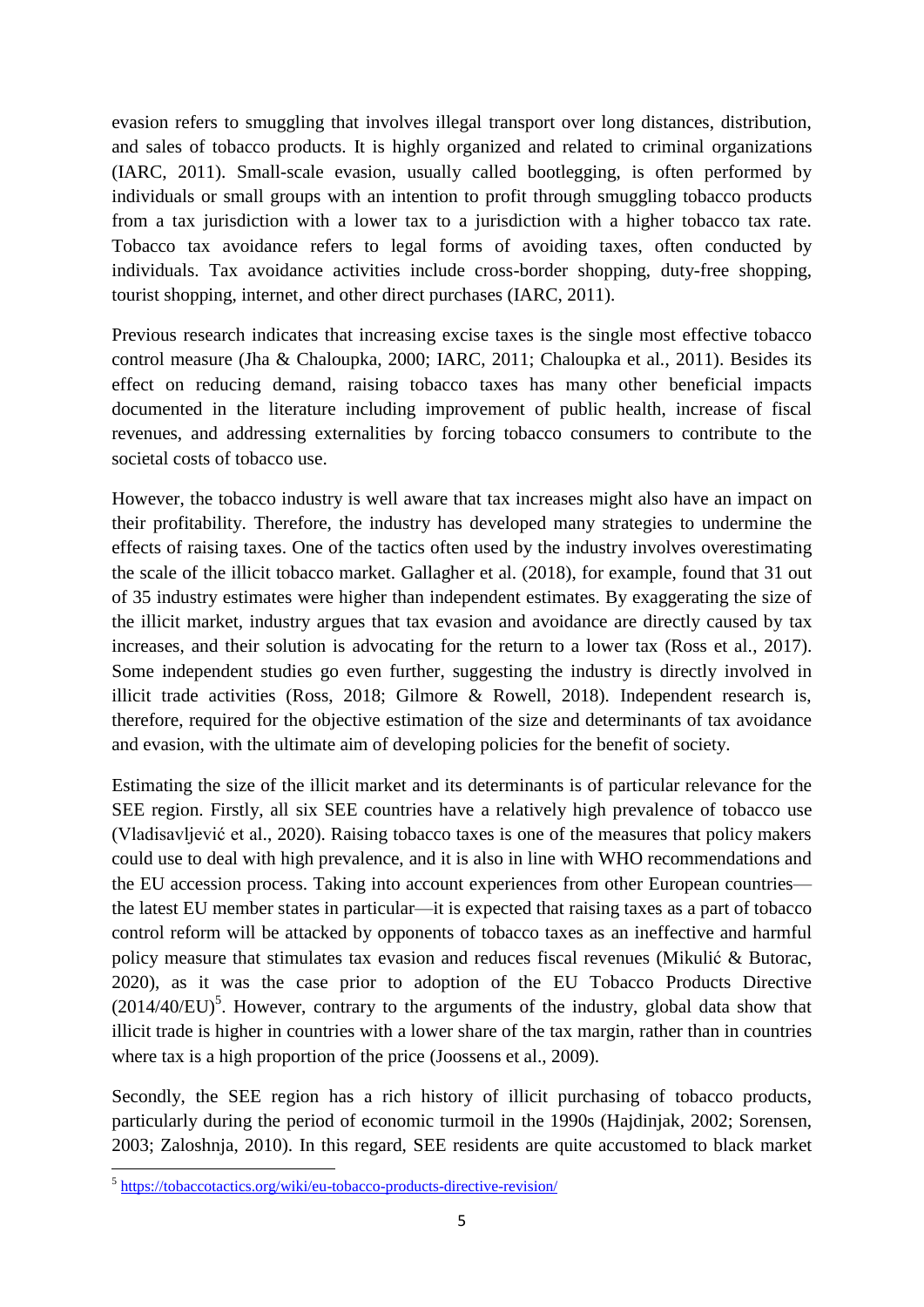evasion refers to smuggling that involves illegal transport over long distances, distribution, and sales of tobacco products. It is highly organized and related to criminal organizations (IARC, 2011). Small-scale evasion, usually called bootlegging, is often performed by individuals or small groups with an intention to profit through smuggling tobacco products from a tax jurisdiction with a lower tax to a jurisdiction with a higher tobacco tax rate. Tobacco tax avoidance refers to legal forms of avoiding taxes, often conducted by individuals. Tax avoidance activities include cross-border shopping, duty-free shopping, tourist shopping, internet, and other direct purchases (IARC, 2011).

Previous research indicates that increasing excise taxes is the single most effective tobacco control measure (Jha & Chaloupka, 2000; IARC, 2011; Chaloupka et al., 2011). Besides its effect on reducing demand, raising tobacco taxes has many other beneficial impacts documented in the literature including improvement of public health, increase of fiscal revenues, and addressing externalities by forcing tobacco consumers to contribute to the societal costs of tobacco use.

However, the tobacco industry is well aware that tax increases might also have an impact on their profitability. Therefore, the industry has developed many strategies to undermine the effects of raising taxes. One of the tactics often used by the industry involves overestimating the scale of the illicit tobacco market. Gallagher et al. (2018), for example, found that 31 out of 35 industry estimates were higher than independent estimates. By exaggerating the size of the illicit market, industry argues that tax evasion and avoidance are directly caused by tax increases, and their solution is advocating for the return to a lower tax (Ross et al., 2017). Some independent studies go even further, suggesting the industry is directly involved in illicit trade activities (Ross, 2018; Gilmore & Rowell, 2018). Independent research is, therefore, required for the objective estimation of the size and determinants of tax avoidance and evasion, with the ultimate aim of developing policies for the benefit of society.

Estimating the size of the illicit market and its determinants is of particular relevance for the SEE region. Firstly, all six SEE countries have a relatively high prevalence of tobacco use (Vladisavljević et al., 2020). Raising tobacco taxes is one of the measures that policy makers could use to deal with high prevalence, and it is also in line with WHO recommendations and the EU accession process. Taking into account experiences from other European countries the latest EU member states in particular—it is expected that raising taxes as a part of tobacco control reform will be attacked by opponents of tobacco taxes as an ineffective and harmful policy measure that stimulates tax evasion and reduces fiscal revenues (Mikulić & Butorac, 2020), as it was the case prior to adoption of the EU Tobacco Products Directive  $(2014/40/EU)^5$ . However, contrary to the arguments of the industry, global data show that illicit trade is higher in countries with a lower share of the tax margin, rather than in countries where tax is a high proportion of the price (Joossens et al., 2009).

Secondly, the SEE region has a rich history of illicit purchasing of tobacco products, particularly during the period of economic turmoil in the 1990s (Hajdinjak, 2002; Sorensen, 2003; Zaloshnja, 2010). In this regard, SEE residents are quite accustomed to black market

 5 <https://tobaccotactics.org/wiki/eu-tobacco-products-directive-revision/>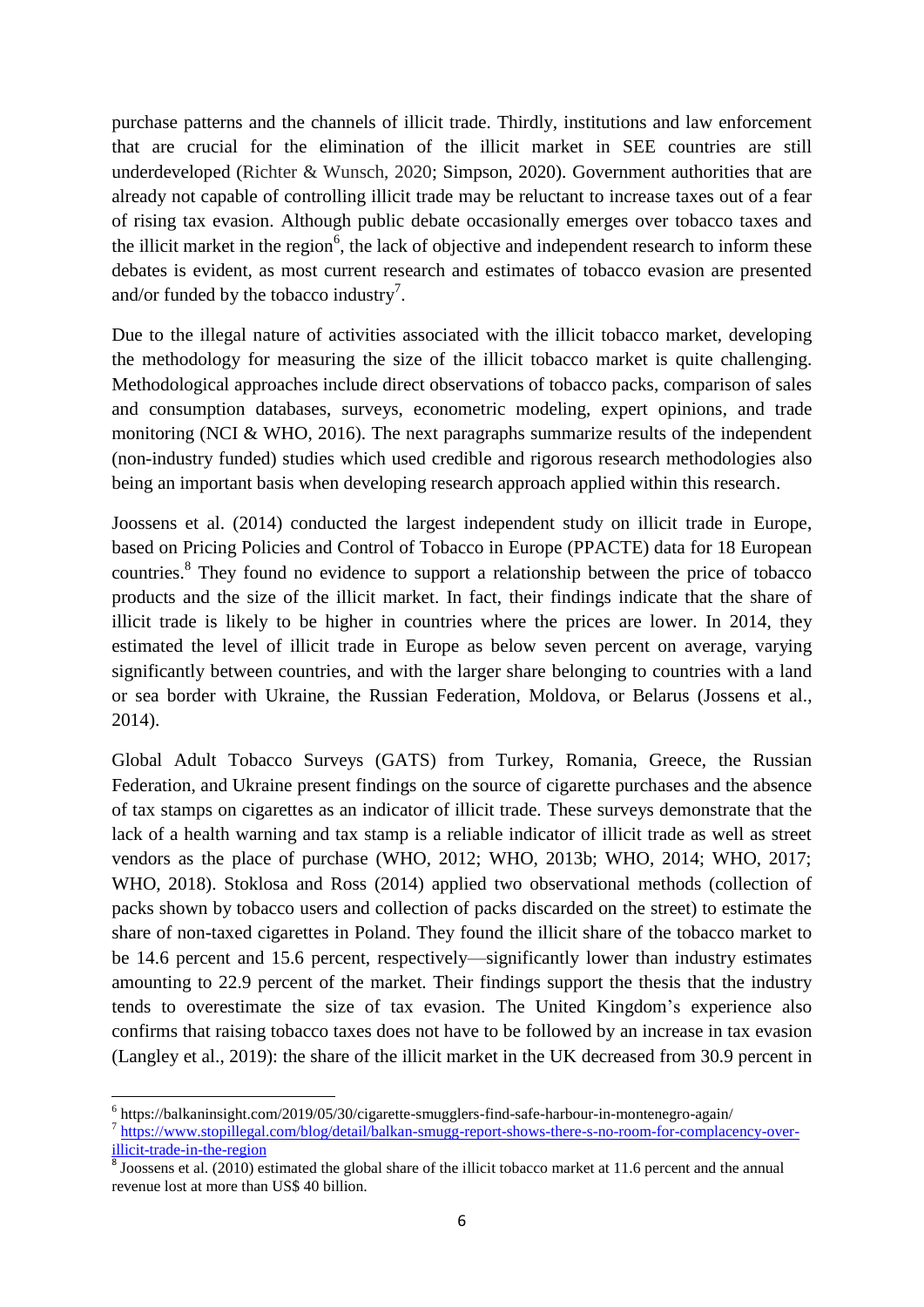purchase patterns and the channels of illicit trade. Thirdly, institutions and law enforcement that are crucial for the elimination of the illicit market in SEE countries are still underdeveloped (Richter & Wunsch, 2020; Simpson, 2020). Government authorities that are already not capable of controlling illicit trade may be reluctant to increase taxes out of a fear of rising tax evasion. Although public debate occasionally emerges over tobacco taxes and the illicit market in the region<sup>6</sup>, the lack of objective and independent research to inform these debates is evident, as most current research and estimates of tobacco evasion are presented and/or funded by the tobacco industry<sup>7</sup>.

Due to the illegal nature of activities associated with the illicit tobacco market, developing the methodology for measuring the size of the illicit tobacco market is quite challenging. Methodological approaches include direct observations of tobacco packs, comparison of sales and consumption databases, surveys, econometric modeling, expert opinions, and trade monitoring (NCI & WHO, 2016). The next paragraphs summarize results of the independent (non-industry funded) studies which used credible and rigorous research methodologies also being an important basis when developing research approach applied within this research.

Joossens et al. (2014) conducted the largest independent study on illicit trade in Europe, based on Pricing Policies and Control of Tobacco in Europe (PPACTE) data for 18 European countries.<sup>8</sup> They found no evidence to support a relationship between the price of tobacco products and the size of the illicit market. In fact, their findings indicate that the share of illicit trade is likely to be higher in countries where the prices are lower. In 2014, they estimated the level of illicit trade in Europe as below seven percent on average, varying significantly between countries, and with the larger share belonging to countries with a land or sea border with Ukraine, the Russian Federation, Moldova, or Belarus (Jossens et al., 2014).

Global Adult Tobacco Surveys (GATS) from Turkey, Romania, Greece, the Russian Federation, and Ukraine present findings on the source of cigarette purchases and the absence of tax stamps on cigarettes as an indicator of illicit trade. These surveys demonstrate that the lack of a health warning and tax stamp is a reliable indicator of illicit trade as well as street vendors as the place of purchase (WHO, 2012; WHO, 2013b; WHO, 2014; WHO, 2017; WHO, 2018). Stoklosa and Ross (2014) applied two observational methods (collection of packs shown by tobacco users and collection of packs discarded on the street) to estimate the share of non-taxed cigarettes in Poland. They found the illicit share of the tobacco market to be 14.6 percent and 15.6 percent, respectively—significantly lower than industry estimates amounting to 22.9 percent of the market. Their findings support the thesis that the industry tends to overestimate the size of tax evasion. The United Kingdom's experience also confirms that raising tobacco taxes does not have to be followed by an increase in tax evasion (Langley et al., 2019): the share of the illicit market in the UK decreased from 30.9 percent in

 6 https://balkaninsight.com/2019/05/30/cigarette-smugglers-find-safe-harbour-in-montenegro-again/ <sup>7</sup> [https://www.stopillegal.com/blog/detail/balkan-smugg-report-shows-there-s-no-room-for-complacency-over](https://www.stopillegal.com/blog/detail/balkan-smugg-report-shows-there-s-no-room-for-complacency-over-illicit-trade-in-the-region)[illicit-trade-in-the-region](https://www.stopillegal.com/blog/detail/balkan-smugg-report-shows-there-s-no-room-for-complacency-over-illicit-trade-in-the-region)

 $8$  Joossens et al. (2010) estimated the global share of the illicit tobacco market at 11.6 percent and the annual revenue lost at more than US\$ 40 billion.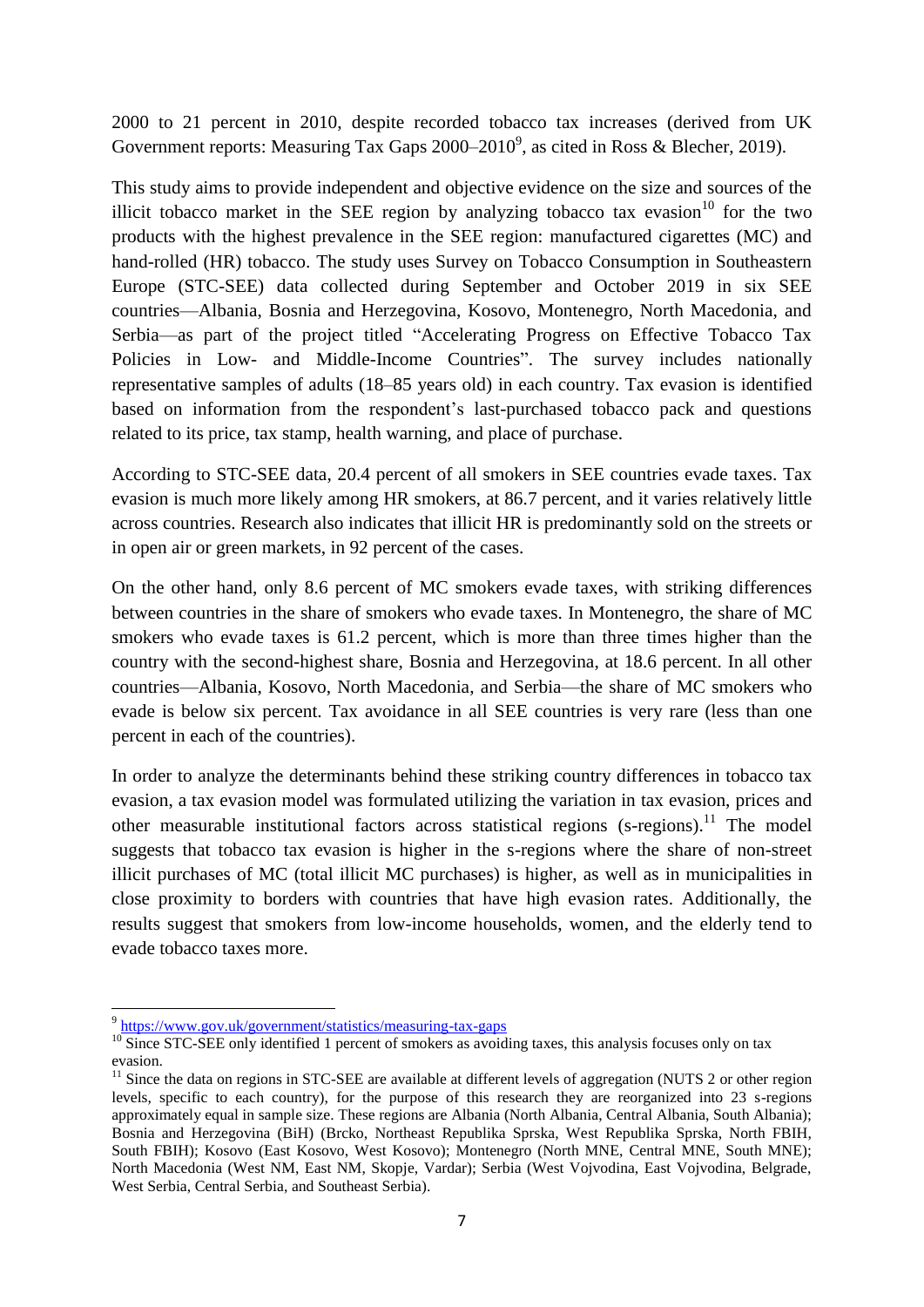2000 to 21 percent in 2010, despite recorded tobacco tax increases (derived from UK Government reports: Measuring Tax Gaps  $2000-2010^9$ , as cited in Ross & Blecher, 2019).

This study aims to provide independent and objective evidence on the size and sources of the illicit tobacco market in the SEE region by analyzing tobacco tax evasion<sup>10</sup> for the two products with the highest prevalence in the SEE region: manufactured cigarettes (MC) and hand-rolled (HR) tobacco. The study uses Survey on Tobacco Consumption in Southeastern Europe (STC-SEE) data collected during September and October 2019 in six SEE countries—Albania, Bosnia and Herzegovina, Kosovo, Montenegro, North Macedonia, and Serbia—as part of the project titled "Accelerating Progress on Effective Tobacco Tax Policies in Low- and Middle-Income Countries". The survey includes nationally representative samples of adults (18–85 years old) in each country. Tax evasion is identified based on information from the respondent's last-purchased tobacco pack and questions related to its price, tax stamp, health warning, and place of purchase.

According to STC-SEE data, 20.4 percent of all smokers in SEE countries evade taxes. Tax evasion is much more likely among HR smokers, at 86.7 percent, and it varies relatively little across countries. Research also indicates that illicit HR is predominantly sold on the streets or in open air or green markets, in 92 percent of the cases.

On the other hand, only 8.6 percent of MC smokers evade taxes, with striking differences between countries in the share of smokers who evade taxes. In Montenegro, the share of MC smokers who evade taxes is 61.2 percent, which is more than three times higher than the country with the second-highest share, Bosnia and Herzegovina, at 18.6 percent. In all other countries—Albania, Kosovo, North Macedonia, and Serbia—the share of MC smokers who evade is below six percent. Tax avoidance in all SEE countries is very rare (less than one percent in each of the countries).

In order to analyze the determinants behind these striking country differences in tobacco tax evasion, a tax evasion model was formulated utilizing the variation in tax evasion, prices and other measurable institutional factors across statistical regions (s-regions).<sup>11</sup> The model suggests that tobacco tax evasion is higher in the s-regions where the share of non-street illicit purchases of MC (total illicit MC purchases) is higher, as well as in municipalities in close proximity to borders with countries that have high evasion rates. Additionally, the results suggest that smokers from low-income households, women, and the elderly tend to evade tobacco taxes more.

<sup>&</sup>lt;sup>9</sup> <https://www.gov.uk/government/statistics/measuring-tax-gaps>

<sup>&</sup>lt;sup>10</sup> Since STC-SEE only identified 1 percent of smokers as avoiding taxes, this analysis focuses only on tax evasion.

 $11$  Since the data on regions in STC-SEE are available at different levels of aggregation (NUTS 2 or other region levels, specific to each country), for the purpose of this research they are reorganized into 23 s-regions approximately equal in sample size. These regions are Albania (North Albania, Central Albania, South Albania); Bosnia and Herzegovina (BiH) (Brcko, Northeast Republika Sprska, West Republika Sprska, North FBIH, South FBIH); Kosovo (East Kosovo, West Kosovo); Montenegro (North MNE, Central MNE, South MNE); North Macedonia (West NM, East NM, Skopje, Vardar); Serbia (West Vojvodina, East Vojvodina, Belgrade, West Serbia, Central Serbia, and Southeast Serbia).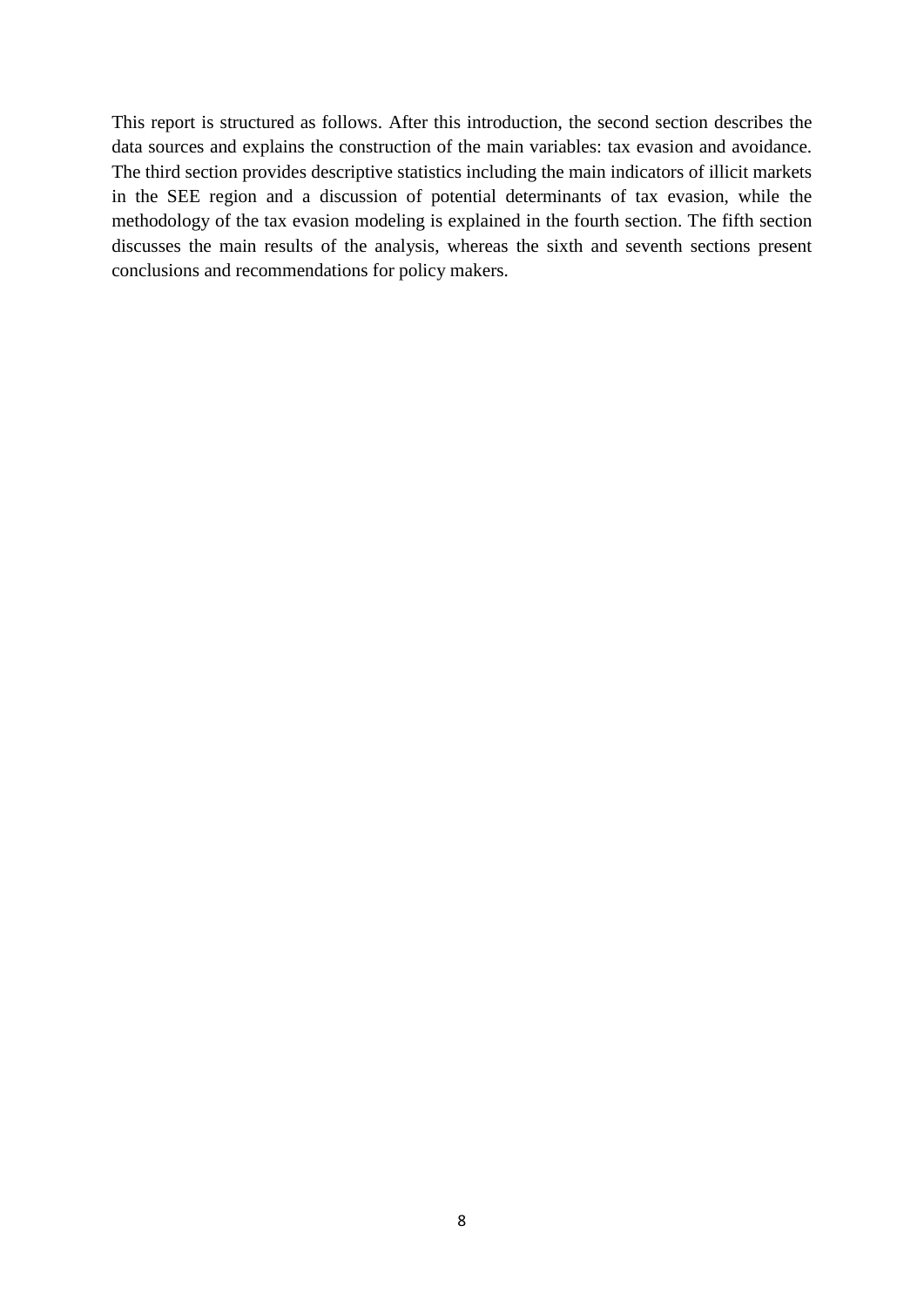This report is structured as follows. After this introduction, the second section describes the data sources and explains the construction of the main variables: tax evasion and avoidance. The third section provides descriptive statistics including the main indicators of illicit markets in the SEE region and a discussion of potential determinants of tax evasion, while the methodology of the tax evasion modeling is explained in the fourth section. The fifth section discusses the main results of the analysis, whereas the sixth and seventh sections present conclusions and recommendations for policy makers.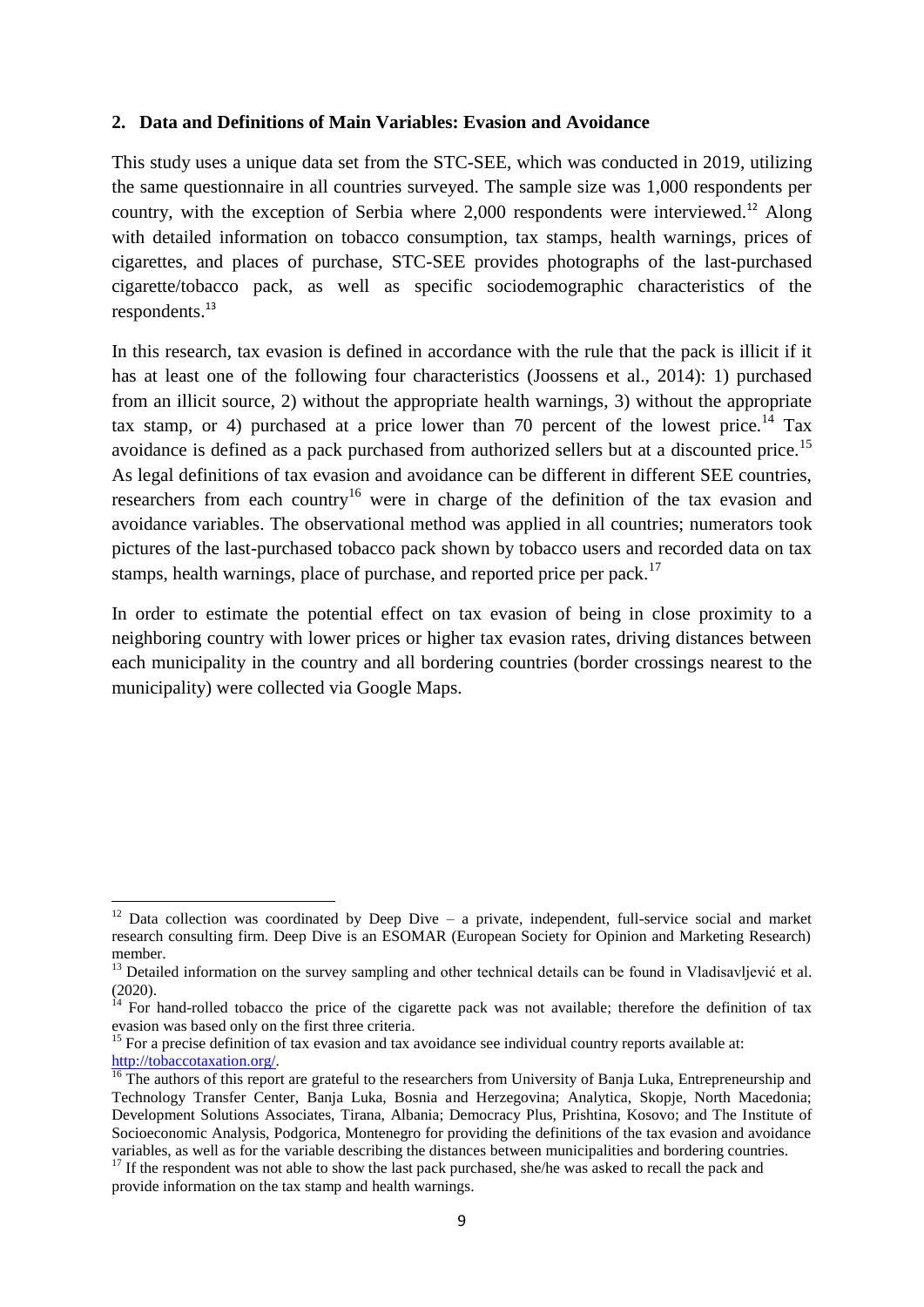#### <span id="page-10-0"></span>**2. Data and Definitions of Main Variables: Evasion and Avoidance**

This study uses a unique data set from the STC-SEE, which was conducted in 2019, utilizing the same questionnaire in all countries surveyed. The sample size was 1,000 respondents per country, with the exception of Serbia where  $2,000$  respondents were interviewed.<sup>12</sup> Along with detailed information on tobacco consumption, tax stamps, health warnings, prices of cigarettes, and places of purchase, STC-SEE provides photographs of the last-purchased cigarette/tobacco pack, as well as specific sociodemographic characteristics of the respondents. 13

In this research, tax evasion is defined in accordance with the rule that the pack is illicit if it has at least one of the following four characteristics (Joossens et al., 2014): 1) purchased from an illicit source, 2) without the appropriate health warnings, 3) without the appropriate tax stamp, or 4) purchased at a price lower than 70 percent of the lowest price.<sup>14</sup> Tax avoidance is defined as a pack purchased from authorized sellers but at a discounted price.<sup>15</sup> As legal definitions of tax evasion and avoidance can be different in different SEE countries, researchers from each country<sup>16</sup> were in charge of the definition of the tax evasion and avoidance variables. The observational method was applied in all countries; numerators took pictures of the last-purchased tobacco pack shown by tobacco users and recorded data on tax stamps, health warnings, place of purchase, and reported price per pack.<sup>17</sup>

In order to estimate the potential effect on tax evasion of being in close proximity to a neighboring country with lower prices or higher tax evasion rates, driving distances between each municipality in the country and all bordering countries (border crossings nearest to the municipality) were collected via Google Maps.

<sup>&</sup>lt;sup>12</sup> Data collection was coordinated by Deep Dive – a private, independent, full-service social and market research consulting firm. Deep Dive is an ESOMAR (European Society for Opinion and Marketing Research) member.

 $<sup>13</sup>$  Detailed information on the survey sampling and other technical details can be found in Vladisavljević et al.</sup> (2020).

 $14$  For hand-rolled tobacco the price of the cigarette pack was not available; therefore the definition of tax evasion was based only on the first three criteria.

<sup>&</sup>lt;sup>15</sup> For a precise definition of tax evasion and tax avoidance see individual country reports available at: [http://tobaccotaxation.org/.](http://tobaccotaxation.org/)

 $\frac{16}{16}$  The authors of this report are grateful to the researchers from University of Banja Luka, Entrepreneurship and Technology Transfer Center, Banja Luka, Bosnia and Herzegovina; Analytica, Skopje, North Macedonia; Development Solutions Associates, Tirana, Albania; Democracy Plus, Prishtina, Kosovo; and The Institute of Socioeconomic Analysis, Podgorica, Montenegro for providing the definitions of the tax evasion and avoidance variables, as well as for the variable describing the distances between municipalities and bordering countries.

<sup>&</sup>lt;sup>17</sup> If the respondent was not able to show the last pack purchased, she/he was asked to recall the pack and provide information on the tax stamp and health warnings.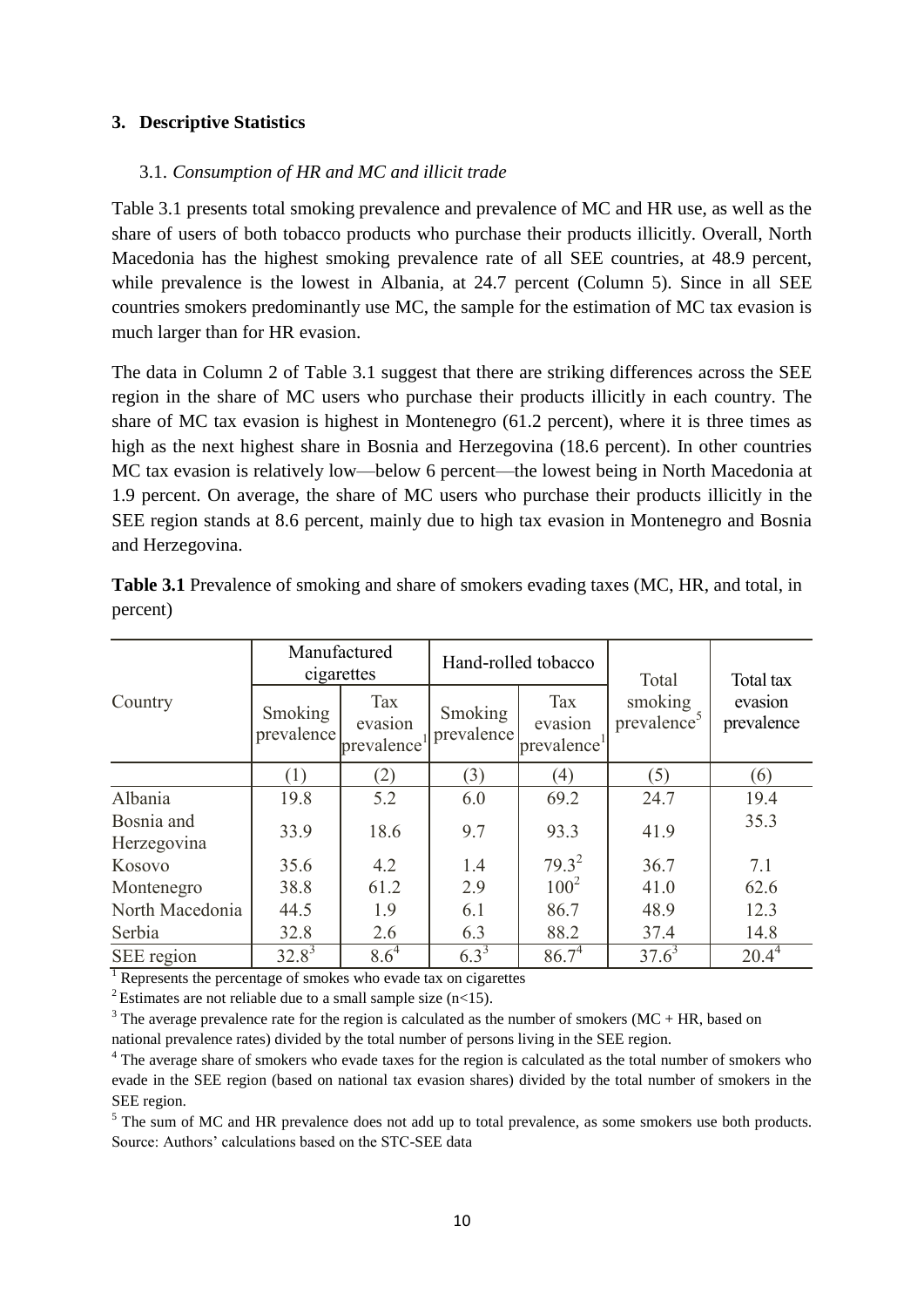# <span id="page-11-0"></span>**3. Descriptive Statistics**

# <span id="page-11-1"></span>3.1. *Consumption of HR and MC and illicit trade*

Table 3.1 presents total smoking prevalence and prevalence of MC and HR use, as well as the share of users of both tobacco products who purchase their products illicitly. Overall, North Macedonia has the highest smoking prevalence rate of all SEE countries, at 48.9 percent, while prevalence is the lowest in Albania, at 24.7 percent (Column 5). Since in all SEE countries smokers predominantly use MC, the sample for the estimation of MC tax evasion is much larger than for HR evasion.

The data in Column 2 of Table 3.1 suggest that there are striking differences across the SEE region in the share of MC users who purchase their products illicitly in each country. The share of MC tax evasion is highest in Montenegro (61.2 percent), where it is three times as high as the next highest share in Bosnia and Herzegovina (18.6 percent). In other countries MC tax evasion is relatively low—below 6 percent—the lowest being in North Macedonia at 1.9 percent. On average, the share of MC users who purchase their products illicitly in the SEE region stands at 8.6 percent, mainly due to high tax evasion in Montenegro and Bosnia and Herzegovina.

|                           | cigarettes            | Manufactured                                                                     |           | Hand-rolled tobacco                | Total                              | Total tax             |  |
|---------------------------|-----------------------|----------------------------------------------------------------------------------|-----------|------------------------------------|------------------------------------|-----------------------|--|
| Country                   | Smoking<br>prevalence | Tax<br><b>Tax</b><br>Smoking<br>evasion<br>prevalence<br>prevalence <sup>1</sup> |           | evasion<br>prevalence <sup>1</sup> | smoking<br>prevalence <sup>5</sup> | evasion<br>prevalence |  |
|                           |                       | (2)                                                                              | (3)       | (4)                                | (5)                                | (6)                   |  |
| Albania                   | 19.8                  | 5.2                                                                              | 6.0       | 69.2                               | 24.7                               | 19.4                  |  |
| Bosnia and<br>Herzegovina | 33.9                  | 18.6                                                                             | 9.7       | 93.3                               | 41.9                               | 35.3                  |  |
| Kosovo                    | 35.6                  | 4.2                                                                              | 1.4       | $79.3^2$                           | 36.7                               | 7.1                   |  |
| Montenegro                | 38.8                  | 61.2                                                                             | 2.9       | $100^2$                            | 41.0                               | 62.6                  |  |
| North Macedonia           | 44.5                  | 1.9                                                                              | 6.1       | 86.7                               | 48.9                               | 12.3                  |  |
| Serbia                    | 32.8                  | 2.6                                                                              | 6.3       | 88.2                               | 37.4                               | 14.8                  |  |
| SEE region                | $32.8^3$              | $8.6^4$                                                                          | $6.3^{3}$ | $86.7^{4}$                         | $37.6^3$                           | $20.4^4$              |  |

**Table 3.1** Prevalence of smoking and share of smokers evading taxes (MC, HR, and total, in percent)

<sup>1</sup> Represents the percentage of smokes who evade tax on cigarettes

<sup>2</sup> Estimates are not reliable due to a small sample size  $(n<15)$ .

 $3$  The average prevalence rate for the region is calculated as the number of smokers (MC + HR, based on national prevalence rates) divided by the total number of persons living in the SEE region.

<sup>4</sup> The average share of smokers who evade taxes for the region is calculated as the total number of smokers who evade in the SEE region (based on national tax evasion shares) divided by the total number of smokers in the SEE region.

<sup>5</sup> The sum of MC and HR prevalence does not add up to total prevalence, as some smokers use both products. Source: Authors' calculations based on the STC-SEE data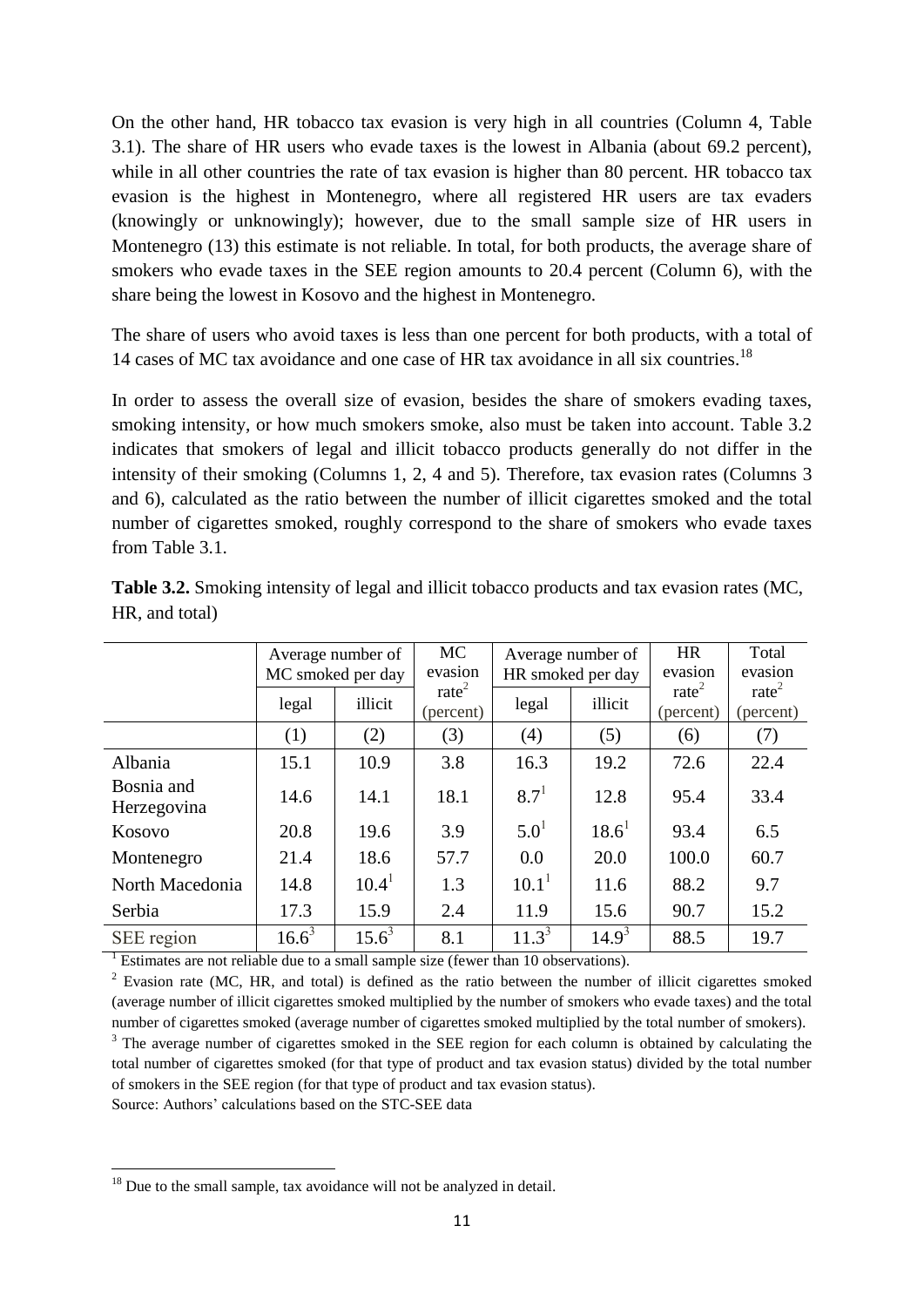On the other hand, HR tobacco tax evasion is very high in all countries (Column 4, Table 3.1). The share of HR users who evade taxes is the lowest in Albania (about 69.2 percent), while in all other countries the rate of tax evasion is higher than 80 percent. HR tobacco tax evasion is the highest in Montenegro, where all registered HR users are tax evaders (knowingly or unknowingly); however, due to the small sample size of HR users in Montenegro (13) this estimate is not reliable. In total, for both products, the average share of smokers who evade taxes in the SEE region amounts to 20.4 percent (Column 6), with the share being the lowest in Kosovo and the highest in Montenegro.

The share of users who avoid taxes is less than one percent for both products, with a total of 14 cases of MC tax avoidance and one case of HR tax avoidance in all six countries.<sup>18</sup>

In order to assess the overall size of evasion, besides the share of smokers evading taxes, smoking intensity, or how much smokers smoke, also must be taken into account. Table 3.2 indicates that smokers of legal and illicit tobacco products generally do not differ in the intensity of their smoking (Columns 1, 2, 4 and 5). Therefore, tax evasion rates (Columns 3 and 6), calculated as the ratio between the number of illicit cigarettes smoked and the total number of cigarettes smoked, roughly correspond to the share of smokers who evade taxes from Table 3.1.

|                           | Average number of<br>MC smoked per day |          | <b>MC</b><br>evasion           | Average number of<br>HR smoked per day |          | <b>HR</b><br>evasion           | Total<br>evasion             |
|---------------------------|----------------------------------------|----------|--------------------------------|----------------------------------------|----------|--------------------------------|------------------------------|
|                           | legal                                  | illicit  | rate <sup>2</sup><br>(percent) | legal                                  | illicit  | rate <sup>2</sup><br>(percent) | $\text{rate}^2$<br>(percent) |
|                           | (1)                                    | (2)      | (3)                            | (4)                                    | (5)      | (6)                            | (7)                          |
| Albania                   | 15.1                                   | 10.9     | 3.8                            | 16.3                                   | 19.2     | 72.6                           | 22.4                         |
| Bosnia and<br>Herzegovina | 14.6                                   | 14.1     | 18.1                           | $8.7^{1}$                              | 12.8     | 95.4                           | 33.4                         |
| Kosovo                    | 20.8                                   | 19.6     | 3.9                            | $5.0^{1}$                              | $18.6^1$ | 93.4                           | 6.5                          |
| Montenegro                | 21.4                                   | 18.6     | 57.7                           | 0.0                                    | 20.0     | 100.0                          | 60.7                         |
| North Macedonia           | 14.8                                   | $10.4^1$ | 1.3                            | $10.1^1$                               | 11.6     | 88.2                           | 9.7                          |
| Serbia                    | 17.3                                   | 15.9     | 2.4                            | 11.9                                   | 15.6     | 90.7                           | 15.2                         |
| SEE region                | $16.6^3$                               | $15.6^3$ | 8.1                            | $11.3^{3}$                             | $14.9^3$ | 88.5                           | 19.7                         |

**Table 3.2.** Smoking intensity of legal and illicit tobacco products and tax evasion rates (MC, HR, and total)

 $^{-1}$  Estimates are not reliable due to a small sample size (fewer than 10 observations).

 $2$  Evasion rate (MC, HR, and total) is defined as the ratio between the number of illicit cigarettes smoked (average number of illicit cigarettes smoked multiplied by the number of smokers who evade taxes) and the total number of cigarettes smoked (average number of cigarettes smoked multiplied by the total number of smokers).

<sup>3</sup> The average number of cigarettes smoked in the SEE region for each column is obtained by calculating the total number of cigarettes smoked (for that type of product and tax evasion status) divided by the total number of smokers in the SEE region (for that type of product and tax evasion status).

Source: Authors' calculations based on the STC-SEE data

 $18$  Due to the small sample, tax avoidance will not be analyzed in detail.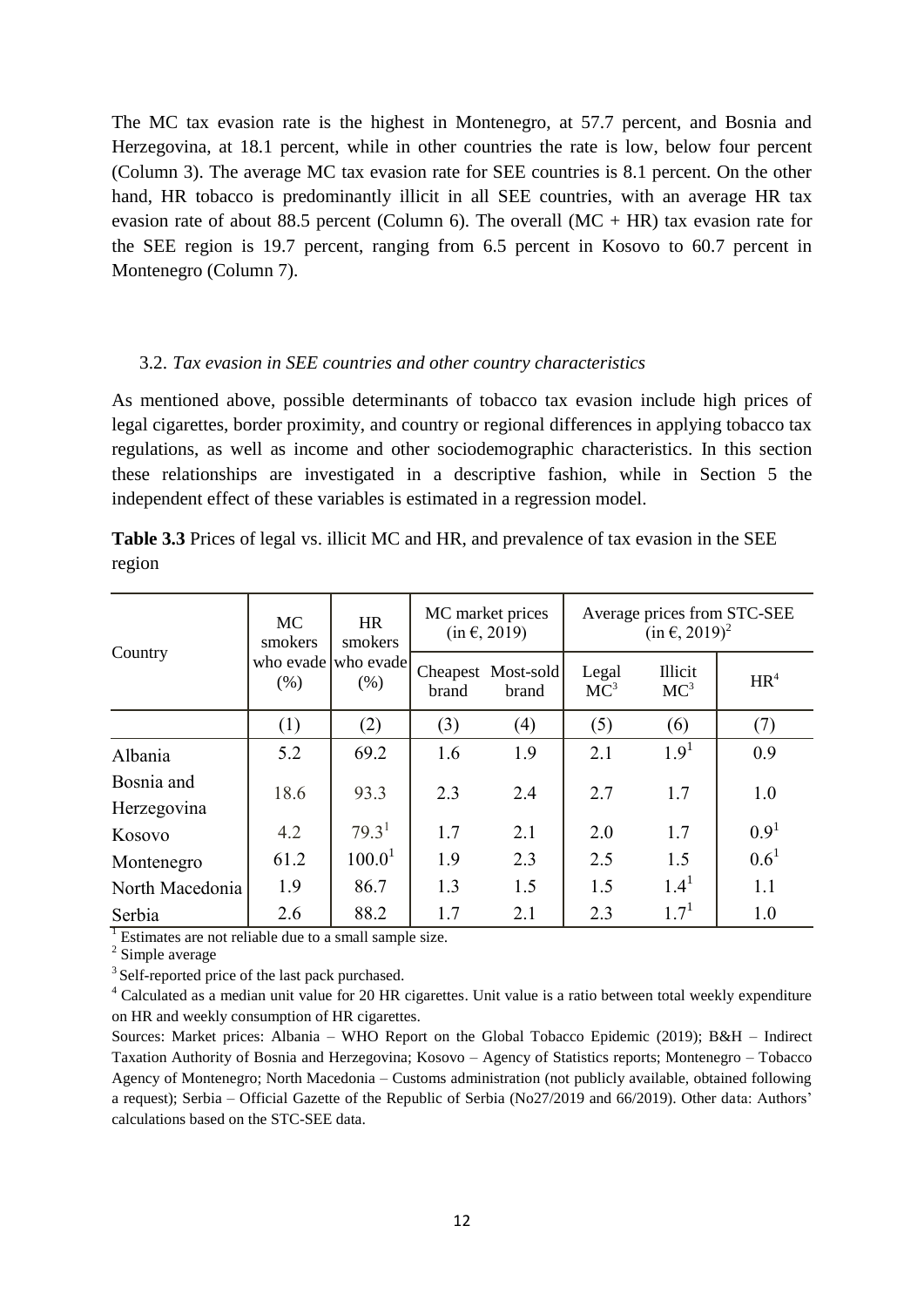The MC tax evasion rate is the highest in Montenegro, at 57.7 percent, and Bosnia and Herzegovina, at 18.1 percent, while in other countries the rate is low, below four percent (Column 3). The average MC tax evasion rate for SEE countries is 8.1 percent. On the other hand, HR tobacco is predominantly illicit in all SEE countries, with an average HR tax evasion rate of about 88.5 percent (Column 6). The overall  $(MC + HR)$  tax evasion rate for the SEE region is 19.7 percent, ranging from 6.5 percent in Kosovo to 60.7 percent in Montenegro (Column 7).

#### <span id="page-13-0"></span>3.2. *Tax evasion in SEE countries and other country characteristics*

As mentioned above, possible determinants of tobacco tax evasion include high prices of legal cigarettes, border proximity, and country or regional differences in applying tobacco tax regulations, as well as income and other sociodemographic characteristics. In this section these relationships are investigated in a descriptive fashion, while in Section 5 the independent effect of these variables is estimated in a regression model.

|                           | <b>MC</b><br>smokers | <b>HR</b><br>smokers           | MC market prices<br>$(in \in, 2019)$ |                             | Average prices from STC-SEE<br>$(in \in, 2019)^2$ |                            |                  |
|---------------------------|----------------------|--------------------------------|--------------------------------------|-----------------------------|---------------------------------------------------|----------------------------|------------------|
| Country                   | (% )                 | who evade who evade<br>$(\% )$ | brand                                | Cheapest Most-sold<br>brand | Legal<br>MC <sup>3</sup>                          | Illicit<br>MC <sup>3</sup> | HR <sup>4</sup>  |
|                           | (1)                  | (2)                            | (3)                                  | (4)                         | (5)                                               | (6)                        | (7)              |
| Albania                   | 5.2                  | 69.2                           | 1.6                                  | 1.9                         | 2.1                                               | 1.9 <sup>1</sup>           | 0.9              |
| Bosnia and<br>Herzegovina | 18.6                 | 93.3                           | 2.3                                  | 2.4                         | 2.7                                               | 1.7                        | 1.0              |
| Kosovo                    | 4.2                  | 79.3 <sup>1</sup>              | 1.7                                  | 2.1                         | 2.0                                               | 1.7                        | 0.9 <sup>1</sup> |
| Montenegro                | 61.2                 | 100.0 <sup>1</sup>             | 1.9                                  | 2.3                         | 2.5                                               | 1.5                        | $0.6^1$          |
| North Macedonia           | 1.9                  | 86.7                           | 1.3                                  | 1.5                         | 1.5                                               | $1.4^{1}$                  | 1.1              |
| Serbia                    | 2.6                  | 88.2                           | 1.7                                  | 2.1                         | 2.3                                               | $1.7^{1}$                  | 1.0              |

**Table 3.3** Prices of legal vs. illicit MC and HR, and prevalence of tax evasion in the SEE region

<sup>1</sup> Estimates are not reliable due to a small sample size.

<sup>2</sup> Simple average

<sup>3</sup> Self-reported price of the last pack purchased.

<sup>4</sup> Calculated as a median unit value for 20 HR cigarettes. Unit value is a ratio between total weekly expenditure on HR and weekly consumption of HR cigarettes.

Sources: Market prices: Albania – WHO Report on the Global Tobacco Epidemic (2019); B&H – Indirect Taxation Authority of Bosnia and Herzegovina; Kosovo – Agency of Statistics reports; Montenegro – Tobacco Agency of Montenegro; North Macedonia – Customs administration (not publicly available, obtained following a request); Serbia – Official Gazette of the Republic of Serbia (No27/2019 and 66/2019). Other data: Authors' calculations based on the STC-SEE data.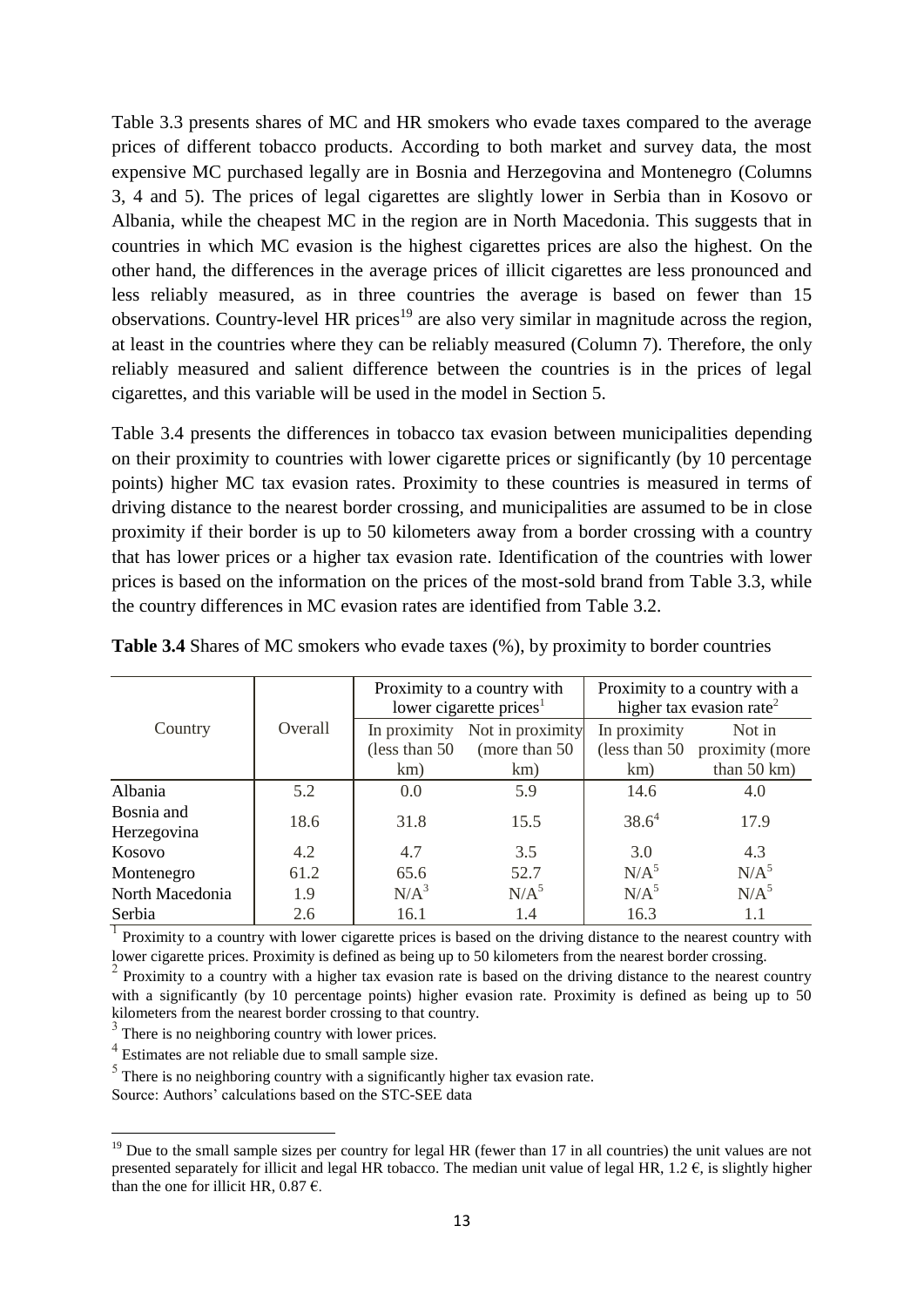Table 3.3 presents shares of MC and HR smokers who evade taxes compared to the average prices of different tobacco products. According to both market and survey data, the most expensive MC purchased legally are in Bosnia and Herzegovina and Montenegro (Columns 3, 4 and 5). The prices of legal cigarettes are slightly lower in Serbia than in Kosovo or Albania, while the cheapest MC in the region are in North Macedonia. This suggests that in countries in which MC evasion is the highest cigarettes prices are also the highest. On the other hand, the differences in the average prices of illicit cigarettes are less pronounced and less reliably measured, as in three countries the average is based on fewer than 15 observations. Country-level HR prices<sup>19</sup> are also very similar in magnitude across the region, at least in the countries where they can be reliably measured (Column 7). Therefore, the only reliably measured and salient difference between the countries is in the prices of legal cigarettes, and this variable will be used in the model in Section 5.

Table 3.4 presents the differences in tobacco tax evasion between municipalities depending on their proximity to countries with lower cigarette prices or significantly (by 10 percentage points) higher MC tax evasion rates. Proximity to these countries is measured in terms of driving distance to the nearest border crossing, and municipalities are assumed to be in close proximity if their border is up to 50 kilometers away from a border crossing with a country that has lower prices or a higher tax evasion rate. Identification of the countries with lower prices is based on the information on the prices of the most-sold brand from Table 3.3, while the country differences in MC evasion rates are identified from Table 3.2.

|                           |         |                | Proximity to a country with<br>lower cigarette prices <sup>1</sup> | Proximity to a country with a<br>higher tax evasion rate <sup>2</sup> |                               |  |
|---------------------------|---------|----------------|--------------------------------------------------------------------|-----------------------------------------------------------------------|-------------------------------|--|
| Country                   | Overall |                | In proximity Not in proximity                                      | In proximity                                                          | Not in                        |  |
|                           |         | (less than 50) | (more than 50)                                                     |                                                                       | (less than 50 proximity (more |  |
|                           |         | km)            | km)                                                                | km)                                                                   | than $50 \text{ km}$ )        |  |
| Albania                   | 5.2     | 0.0            | 5.9                                                                | 14.6                                                                  | 4.0                           |  |
| Bosnia and<br>Herzegovina | 18.6    | 31.8           | 15.5                                                               | 38.6 <sup>4</sup>                                                     | 17.9                          |  |
| Kosovo                    | 4.2     | 4.7            | 3.5                                                                | 3.0                                                                   | 4.3                           |  |
| Montenegro                | 61.2    | 65.6           | 52.7                                                               | N/A <sup>5</sup>                                                      | N/A <sup>5</sup>              |  |
| North Macedonia           | 1.9     | $N/A^3$        | N/A <sup>5</sup>                                                   | N/A <sup>5</sup>                                                      | N/A <sup>5</sup>              |  |
| Serbia                    | 2.6     | 16.1           | 1.4                                                                | 16.3                                                                  | 1.1                           |  |

**Table 3.4** Shares of MC smokers who evade taxes (%), by proximity to border countries

<sup>1</sup> Proximity to a country with lower cigarette prices is based on the driving distance to the nearest country with lower cigarette prices. Proximity is defined as being up to 50 kilometers from the nearest border crossing.

1

 $<sup>5</sup>$  There is no neighboring country with a significantly higher tax evasion rate.</sup>

Source: Authors' calculations based on the STC-SEE data

<sup>2</sup> Proximity to a country with a higher tax evasion rate is based on the driving distance to the nearest country with a significantly (by 10 percentage points) higher evasion rate. Proximity is defined as being up to 50 kilometers from the nearest border crossing to that country.

<sup>&</sup>lt;sup>3</sup> There is no neighboring country with lower prices.

<sup>4</sup> Estimates are not reliable due to small sample size.

 $19$  Due to the small sample sizes per country for legal HR (fewer than 17 in all countries) the unit values are not presented separately for illicit and legal HR tobacco. The median unit value of legal HR,  $1.2 \text{ } \epsilon$ , is slightly higher than the one for illicit HR, 0.87  $\epsilon$ .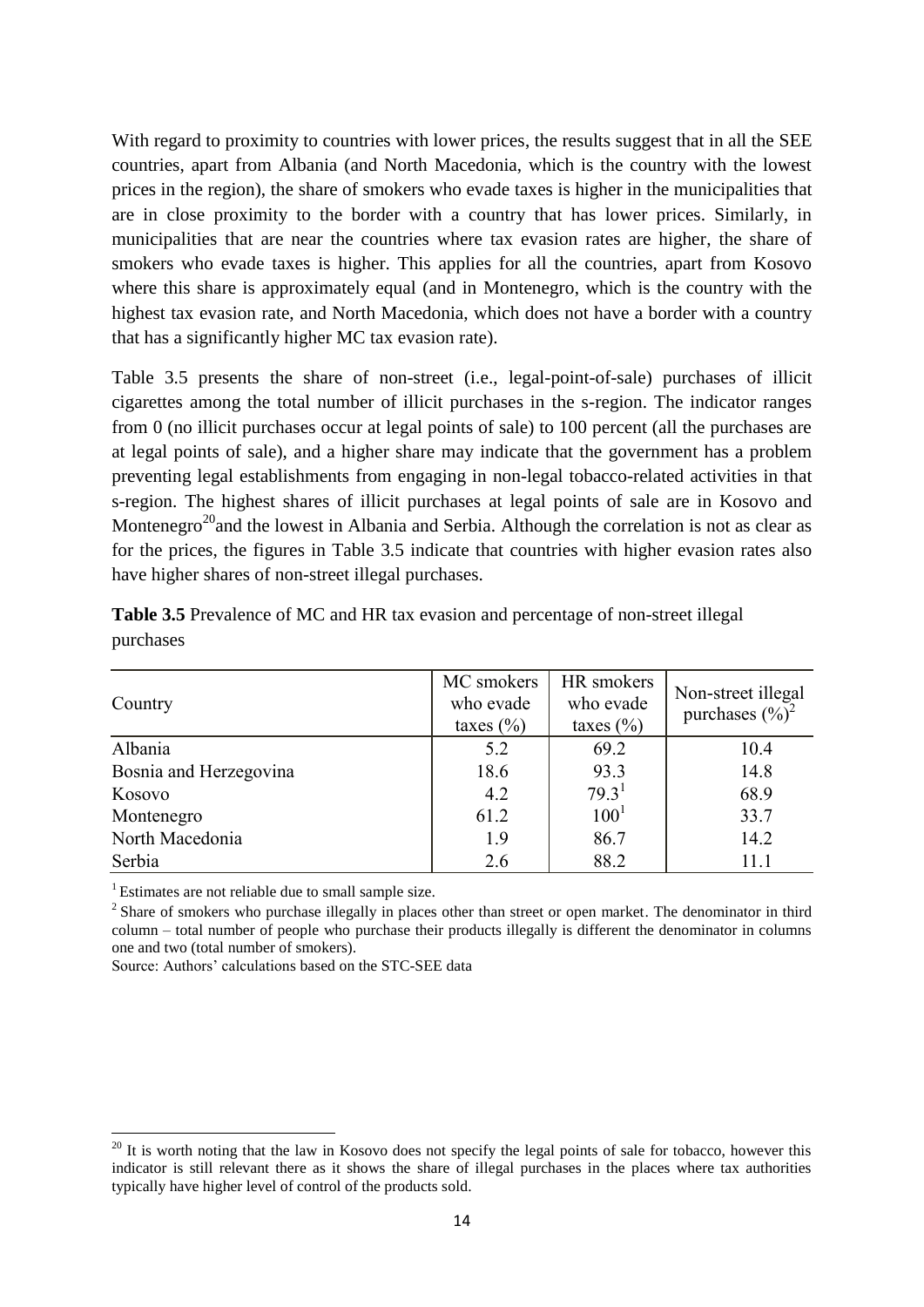With regard to proximity to countries with lower prices, the results suggest that in all the SEE countries, apart from Albania (and North Macedonia, which is the country with the lowest prices in the region), the share of smokers who evade taxes is higher in the municipalities that are in close proximity to the border with a country that has lower prices. Similarly, in municipalities that are near the countries where tax evasion rates are higher, the share of smokers who evade taxes is higher. This applies for all the countries, apart from Kosovo where this share is approximately equal (and in Montenegro, which is the country with the highest tax evasion rate, and North Macedonia, which does not have a border with a country that has a significantly higher MC tax evasion rate).

Table 3.5 presents the share of non-street (i.e., legal-point-of-sale) purchases of illicit cigarettes among the total number of illicit purchases in the s-region. The indicator ranges from 0 (no illicit purchases occur at legal points of sale) to 100 percent (all the purchases are at legal points of sale), and a higher share may indicate that the government has a problem preventing legal establishments from engaging in non-legal tobacco-related activities in that s-region. The highest shares of illicit purchases at legal points of sale are in Kosovo and Montenegro<sup>20</sup> and the lowest in Albania and Serbia. Although the correlation is not as clear as for the prices, the figures in Table 3.5 indicate that countries with higher evasion rates also have higher shares of non-street illegal purchases.

| Country                | MC smokers<br>who evade<br>taxes $(\% )$ | HR smokers<br>who evade<br>taxes $(\% )$ | Non-street illegal<br>purchases $(\%)^2$ |
|------------------------|------------------------------------------|------------------------------------------|------------------------------------------|
| Albania                | 5.2                                      | 69.2                                     | 10.4                                     |
| Bosnia and Herzegovina | 18.6                                     | 93.3                                     | 14.8                                     |
| Kosovo                 | 4.2                                      | 79.3 <sup>1</sup>                        | 68.9                                     |
| Montenegro             | 61.2                                     | 100 <sup>1</sup>                         | 33.7                                     |
| North Macedonia        | 1.9                                      | 86.7                                     | 14.2                                     |
| Serbia                 | 2.6                                      | 88.2                                     | 11.1                                     |

**Table 3.5** Prevalence of MC and HR tax evasion and percentage of non-street illegal purchases

<sup>1</sup> Estimates are not reliable due to small sample size.

1

<sup>2</sup> Share of smokers who purchase illegally in places other than street or open market. The denominator in third column – total number of people who purchase their products illegally is different the denominator in columns one and two (total number of smokers).

Source: Authors' calculations based on the STC-SEE data

 $20$  It is worth noting that the law in Kosovo does not specify the legal points of sale for tobacco, however this indicator is still relevant there as it shows the share of illegal purchases in the places where tax authorities typically have higher level of control of the products sold.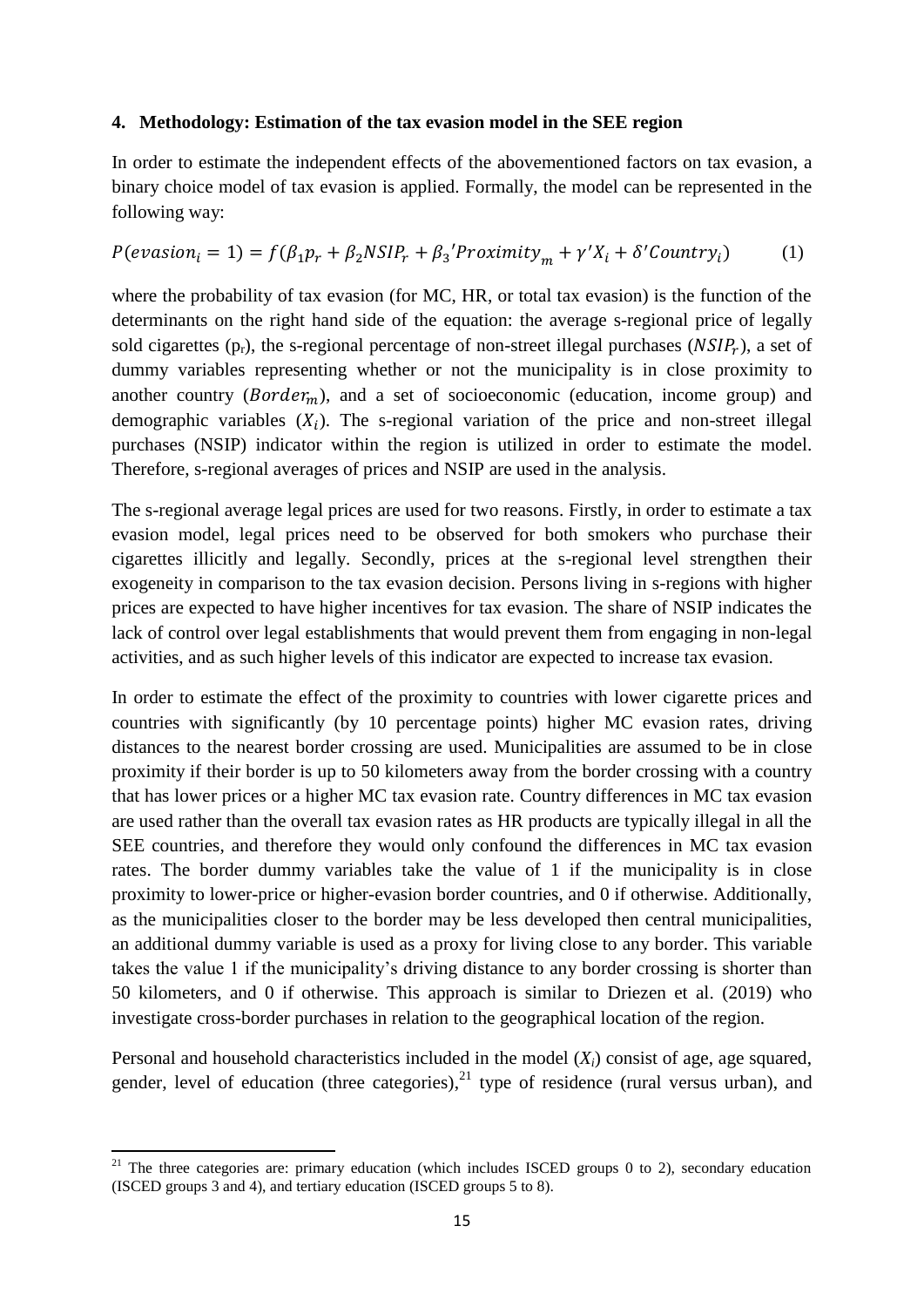#### <span id="page-16-0"></span>**4. Methodology: Estimation of the tax evasion model in the SEE region**

In order to estimate the independent effects of the abovementioned factors on tax evasion, a binary choice model of tax evasion is applied. Formally, the model can be represented in the following way:

# $P(evasion_i = 1) = f(\beta_1 p_r + \beta_2 NSIP_r + \beta_3' Proximity_m + \gamma' X_i + \delta' Country_i)$  (1)

where the probability of tax evasion (for MC, HR, or total tax evasion) is the function of the determinants on the right hand side of the equation: the average s-regional price of legally sold cigarettes ( $p_r$ ), the s-regional percentage of non-street illegal purchases ( $NSIP_r$ ), a set of dummy variables representing whether or not the municipality is in close proximity to another country ( $Border_m$ ), and a set of socioeconomic (education, income group) and demographic variables  $(X_i)$ . The s-regional variation of the price and non-street illegal purchases (NSIP) indicator within the region is utilized in order to estimate the model. Therefore, s-regional averages of prices and NSIP are used in the analysis.

The s-regional average legal prices are used for two reasons. Firstly, in order to estimate a tax evasion model, legal prices need to be observed for both smokers who purchase their cigarettes illicitly and legally. Secondly, prices at the s-regional level strengthen their exogeneity in comparison to the tax evasion decision. Persons living in s-regions with higher prices are expected to have higher incentives for tax evasion. The share of NSIP indicates the lack of control over legal establishments that would prevent them from engaging in non-legal activities, and as such higher levels of this indicator are expected to increase tax evasion.

In order to estimate the effect of the proximity to countries with lower cigarette prices and countries with significantly (by 10 percentage points) higher MC evasion rates, driving distances to the nearest border crossing are used. Municipalities are assumed to be in close proximity if their border is up to 50 kilometers away from the border crossing with a country that has lower prices or a higher MC tax evasion rate. Country differences in MC tax evasion are used rather than the overall tax evasion rates as HR products are typically illegal in all the SEE countries, and therefore they would only confound the differences in MC tax evasion rates. The border dummy variables take the value of 1 if the municipality is in close proximity to lower-price or higher-evasion border countries, and 0 if otherwise. Additionally, as the municipalities closer to the border may be less developed then central municipalities, an additional dummy variable is used as a proxy for living close to any border. This variable takes the value 1 if the municipality's driving distance to any border crossing is shorter than 50 kilometers, and 0 if otherwise. This approach is similar to Driezen et al. (2019) who investigate cross-border purchases in relation to the geographical location of the region.

Personal and household characteristics included in the model (*Xi*) consist of age, age squared, gender, level of education (three categories), $^{21}$  type of residence (rural versus urban), and

**<sup>.</sup>** <sup>21</sup> The three categories are: primary education (which includes ISCED groups 0 to 2), secondary education (ISCED groups 3 and 4), and tertiary education (ISCED groups 5 to 8).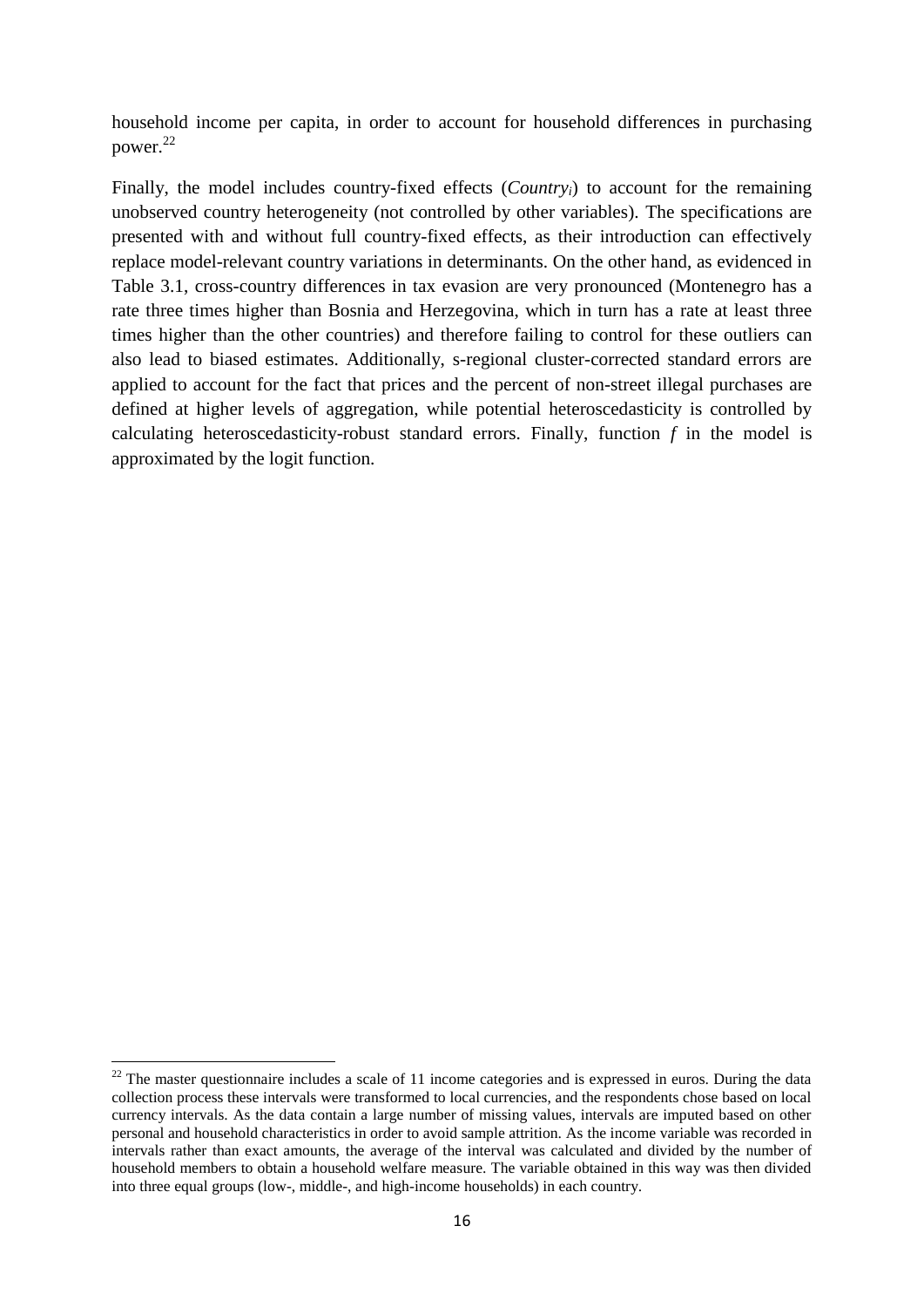household income per capita, in order to account for household differences in purchasing power. 22

Finally, the model includes country-fixed effects (*Country<sub>i</sub>*) to account for the remaining unobserved country heterogeneity (not controlled by other variables). The specifications are presented with and without full country-fixed effects, as their introduction can effectively replace model-relevant country variations in determinants. On the other hand, as evidenced in Table 3.1, cross-country differences in tax evasion are very pronounced (Montenegro has a rate three times higher than Bosnia and Herzegovina, which in turn has a rate at least three times higher than the other countries) and therefore failing to control for these outliers can also lead to biased estimates. Additionally, s-regional cluster-corrected standard errors are applied to account for the fact that prices and the percent of non-street illegal purchases are defined at higher levels of aggregation, while potential heteroscedasticity is controlled by calculating heteroscedasticity-robust standard errors. Finally, function *f* in the model is approximated by the logit function.

 $22$  The master questionnaire includes a scale of 11 income categories and is expressed in euros. During the data collection process these intervals were transformed to local currencies, and the respondents chose based on local currency intervals. As the data contain a large number of missing values, intervals are imputed based on other personal and household characteristics in order to avoid sample attrition. As the income variable was recorded in intervals rather than exact amounts, the average of the interval was calculated and divided by the number of household members to obtain a household welfare measure. The variable obtained in this way was then divided into three equal groups (low-, middle-, and high-income households) in each country.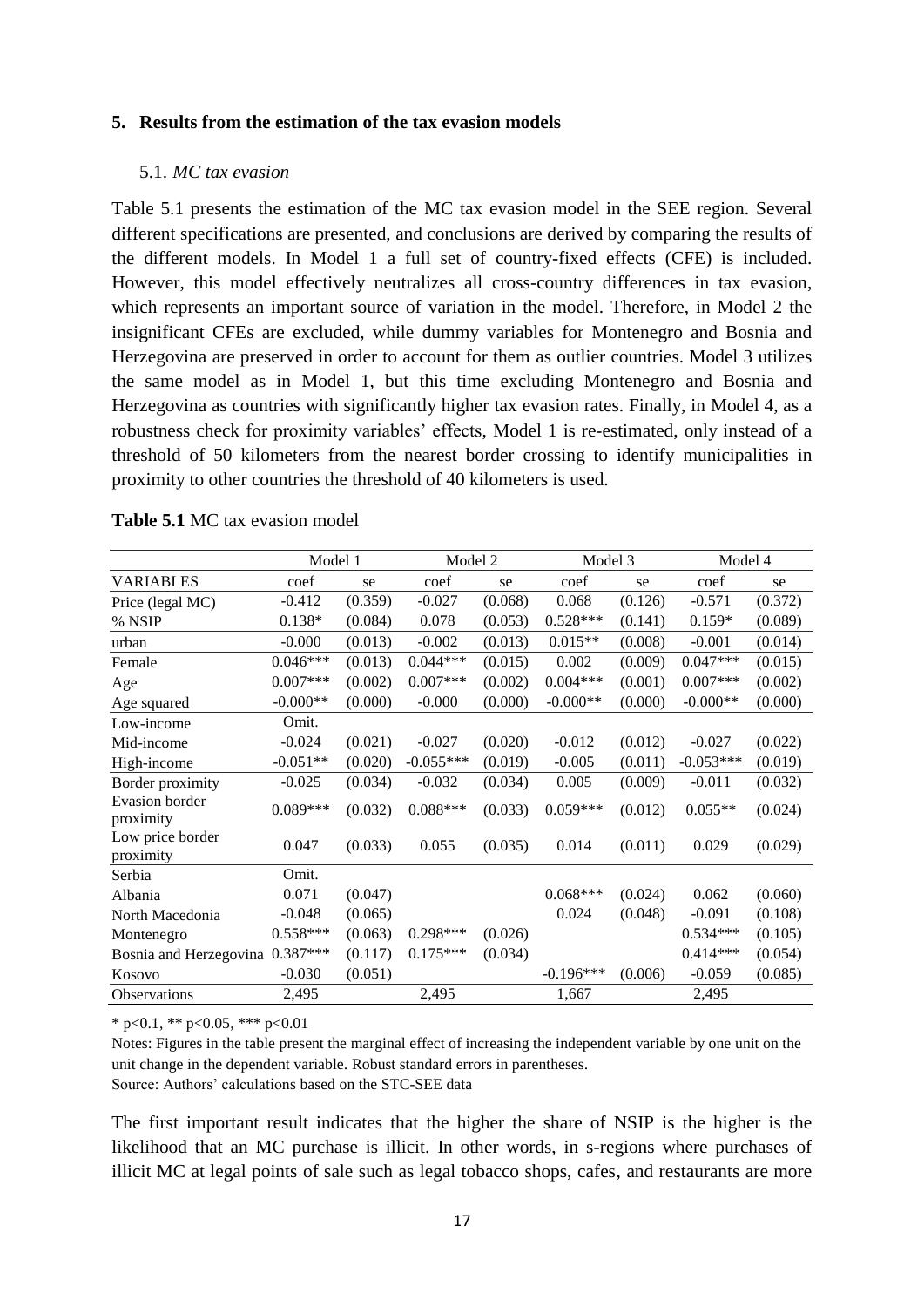#### <span id="page-18-0"></span>**5. Results from the estimation of the tax evasion models**

#### <span id="page-18-1"></span>5.1. *MC tax evasion*

Table 5.1 presents the estimation of the MC tax evasion model in the SEE region. Several different specifications are presented, and conclusions are derived by comparing the results of the different models. In Model 1 a full set of country-fixed effects (CFE) is included. However, this model effectively neutralizes all cross-country differences in tax evasion, which represents an important source of variation in the model. Therefore, in Model 2 the insignificant CFEs are excluded, while dummy variables for Montenegro and Bosnia and Herzegovina are preserved in order to account for them as outlier countries. Model 3 utilizes the same model as in Model 1, but this time excluding Montenegro and Bosnia and Herzegovina as countries with significantly higher tax evasion rates. Finally, in Model 4, as a robustness check for proximity variables' effects, Model 1 is re-estimated, only instead of a threshold of 50 kilometers from the nearest border crossing to identify municipalities in proximity to other countries the threshold of 40 kilometers is used.

|                                    | Model 1    |         | Model 2     |         | Model 3     |         | Model 4     |         |
|------------------------------------|------------|---------|-------------|---------|-------------|---------|-------------|---------|
| <b>VARIABLES</b>                   | coef       | se      | coef        | se      | coef        | se      | coef        | se      |
| Price (legal MC)                   | $-0.412$   | (0.359) | $-0.027$    | (0.068) | 0.068       | (0.126) | $-0.571$    | (0.372) |
| % NSIP                             | $0.138*$   | (0.084) | 0.078       | (0.053) | $0.528***$  | (0.141) | $0.159*$    | (0.089) |
| urban                              | $-0.000$   | (0.013) | $-0.002$    | (0.013) | $0.015**$   | (0.008) | $-0.001$    | (0.014) |
| Female                             | $0.046***$ | (0.013) | $0.044***$  | (0.015) | 0.002       | (0.009) | $0.047***$  | (0.015) |
| Age                                | $0.007***$ | (0.002) | $0.007***$  | (0.002) | $0.004***$  | (0.001) | $0.007***$  | (0.002) |
| Age squared                        | $-0.000**$ | (0.000) | $-0.000$    | (0.000) | $-0.000**$  | (0.000) | $-0.000**$  | (0.000) |
| Low-income                         | Omit.      |         |             |         |             |         |             |         |
| Mid-income                         | $-0.024$   | (0.021) | $-0.027$    | (0.020) | $-0.012$    | (0.012) | $-0.027$    | (0.022) |
| High-income                        | $-0.051**$ | (0.020) | $-0.055***$ | (0.019) | $-0.005$    | (0.011) | $-0.053***$ | (0.019) |
| Border proximity                   | $-0.025$   | (0.034) | $-0.032$    | (0.034) | 0.005       | (0.009) | $-0.011$    | (0.032) |
| <b>Evasion</b> border<br>proximity | $0.089***$ | (0.032) | $0.088***$  | (0.033) | $0.059***$  | (0.012) | $0.055**$   | (0.024) |
| Low price border<br>proximity      | 0.047      | (0.033) | 0.055       | (0.035) | 0.014       | (0.011) | 0.029       | (0.029) |
| Serbia                             | Omit.      |         |             |         |             |         |             |         |
| Albania                            | 0.071      | (0.047) |             |         | $0.068***$  | (0.024) | 0.062       | (0.060) |
| North Macedonia                    | $-0.048$   | (0.065) |             |         | 0.024       | (0.048) | $-0.091$    | (0.108) |
| Montenegro                         | $0.558***$ | (0.063) | $0.298***$  | (0.026) |             |         | $0.534***$  | (0.105) |
| Bosnia and Herzegovina             | $0.387***$ | (0.117) | $0.175***$  | (0.034) |             |         | $0.414***$  | (0.054) |
| Kosovo                             | $-0.030$   | (0.051) |             |         | $-0.196***$ | (0.006) | $-0.059$    | (0.085) |
| Observations                       | 2,495      |         | 2,495       |         | 1,667       |         | 2,495       |         |

#### **Table 5.1** MC tax evasion model

\* p<0.1, \*\* p<0.05, \*\*\* p<0.01

Notes: Figures in the table present the marginal effect of increasing the independent variable by one unit on the unit change in the dependent variable. Robust standard errors in parentheses. Source: Authors' calculations based on the STC-SEE data

The first important result indicates that the higher the share of NSIP is the higher is the likelihood that an MC purchase is illicit. In other words, in s-regions where purchases of illicit MC at legal points of sale such as legal tobacco shops, cafes, and restaurants are more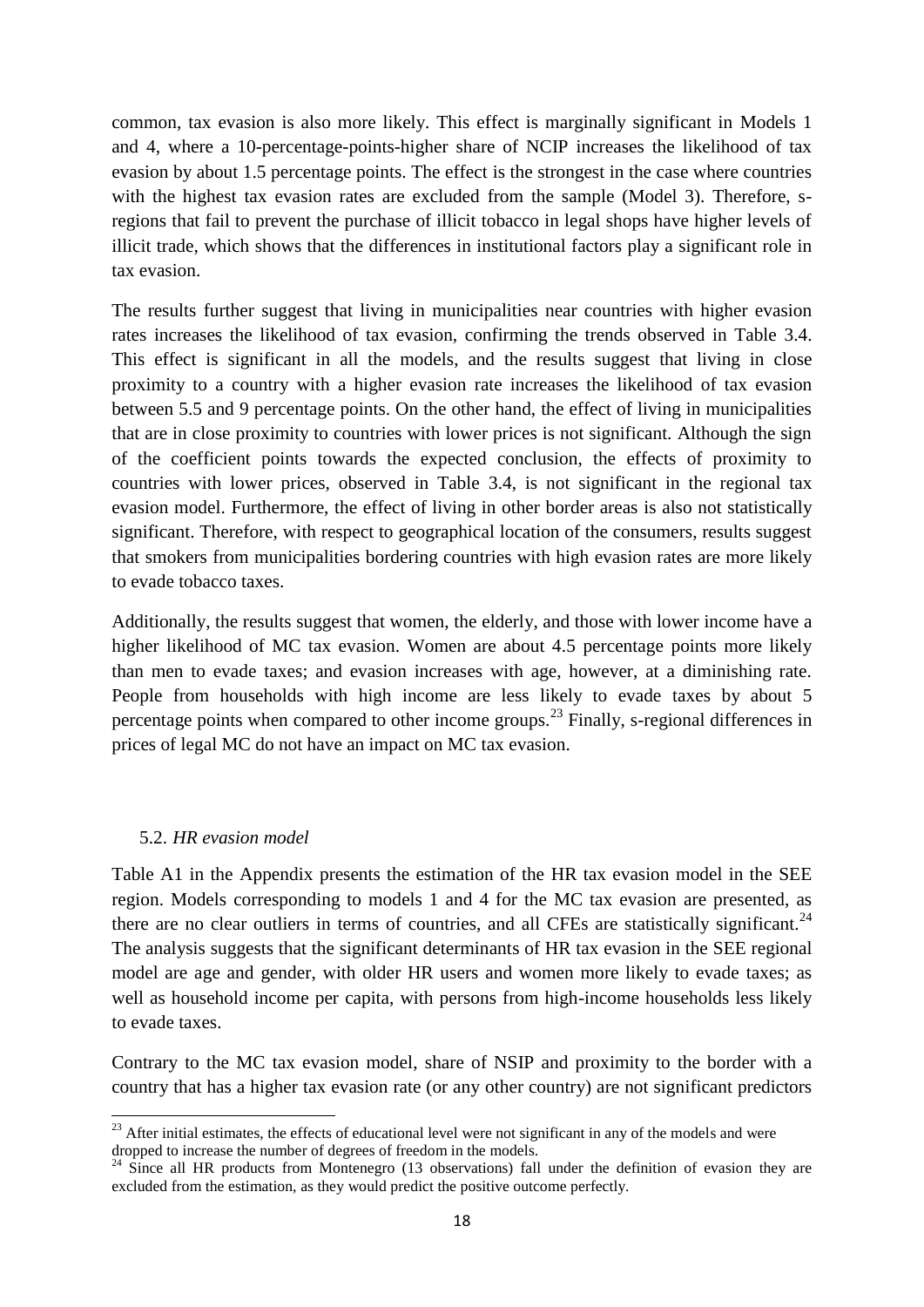common, tax evasion is also more likely. This effect is marginally significant in Models 1 and 4, where a 10-percentage-points-higher share of NCIP increases the likelihood of tax evasion by about 1.5 percentage points. The effect is the strongest in the case where countries with the highest tax evasion rates are excluded from the sample (Model 3). Therefore, sregions that fail to prevent the purchase of illicit tobacco in legal shops have higher levels of illicit trade, which shows that the differences in institutional factors play a significant role in tax evasion.

The results further suggest that living in municipalities near countries with higher evasion rates increases the likelihood of tax evasion, confirming the trends observed in Table 3.4. This effect is significant in all the models, and the results suggest that living in close proximity to a country with a higher evasion rate increases the likelihood of tax evasion between 5.5 and 9 percentage points. On the other hand, the effect of living in municipalities that are in close proximity to countries with lower prices is not significant. Although the sign of the coefficient points towards the expected conclusion, the effects of proximity to countries with lower prices, observed in Table 3.4, is not significant in the regional tax evasion model. Furthermore, the effect of living in other border areas is also not statistically significant. Therefore, with respect to geographical location of the consumers, results suggest that smokers from municipalities bordering countries with high evasion rates are more likely to evade tobacco taxes.

Additionally, the results suggest that women, the elderly, and those with lower income have a higher likelihood of MC tax evasion. Women are about 4.5 percentage points more likely than men to evade taxes; and evasion increases with age, however, at a diminishing rate. People from households with high income are less likely to evade taxes by about 5 percentage points when compared to other income groups.<sup>23</sup> Finally, s-regional differences in prices of legal MC do not have an impact on MC tax evasion.

#### <span id="page-19-0"></span>5.2. *HR evasion model*

**.** 

Table A1 in the Appendix presents the estimation of the HR tax evasion model in the SEE region. Models corresponding to models 1 and 4 for the MC tax evasion are presented, as there are no clear outliers in terms of countries, and all CFEs are statistically significant.<sup>24</sup> The analysis suggests that the significant determinants of HR tax evasion in the SEE regional model are age and gender, with older HR users and women more likely to evade taxes; as well as household income per capita, with persons from high-income households less likely to evade taxes.

Contrary to the MC tax evasion model, share of NSIP and proximity to the border with a country that has a higher tax evasion rate (or any other country) are not significant predictors

 $^{23}$  After initial estimates, the effects of educational level were not significant in any of the models and were dropped to increase the number of degrees of freedom in the models.

<sup>&</sup>lt;sup>24</sup> Since all HR products from Montenegro (13 observations) fall under the definition of evasion they are excluded from the estimation, as they would predict the positive outcome perfectly.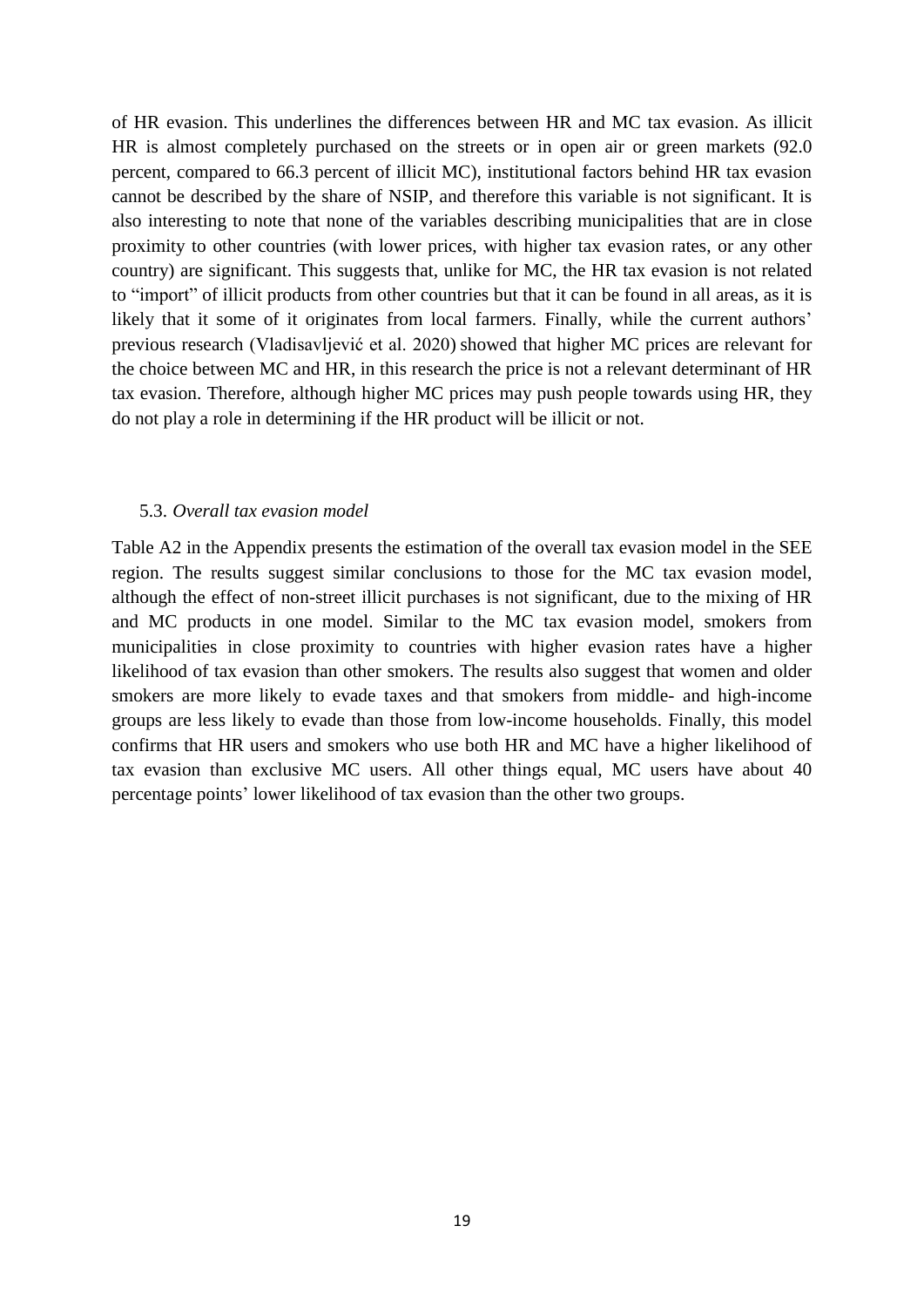of HR evasion. This underlines the differences between HR and MC tax evasion. As illicit HR is almost completely purchased on the streets or in open air or green markets (92.0 percent, compared to 66.3 percent of illicit MC), institutional factors behind HR tax evasion cannot be described by the share of NSIP, and therefore this variable is not significant. It is also interesting to note that none of the variables describing municipalities that are in close proximity to other countries (with lower prices, with higher tax evasion rates, or any other country) are significant. This suggests that, unlike for MC, the HR tax evasion is not related to "import" of illicit products from other countries but that it can be found in all areas, as it is likely that it some of it originates from local farmers. Finally, while the current authors' previous research (Vladisavljević et al. 2020) showed that higher MC prices are relevant for the choice between MC and HR, in this research the price is not a relevant determinant of HR tax evasion. Therefore, although higher MC prices may push people towards using HR, they do not play a role in determining if the HR product will be illicit or not.

#### <span id="page-20-0"></span>5.3. *Overall tax evasion model*

Table A2 in the Appendix presents the estimation of the overall tax evasion model in the SEE region. The results suggest similar conclusions to those for the MC tax evasion model, although the effect of non-street illicit purchases is not significant, due to the mixing of HR and MC products in one model. Similar to the MC tax evasion model, smokers from municipalities in close proximity to countries with higher evasion rates have a higher likelihood of tax evasion than other smokers. The results also suggest that women and older smokers are more likely to evade taxes and that smokers from middle- and high-income groups are less likely to evade than those from low-income households. Finally, this model confirms that HR users and smokers who use both HR and MC have a higher likelihood of tax evasion than exclusive MC users. All other things equal, MC users have about 40 percentage points' lower likelihood of tax evasion than the other two groups.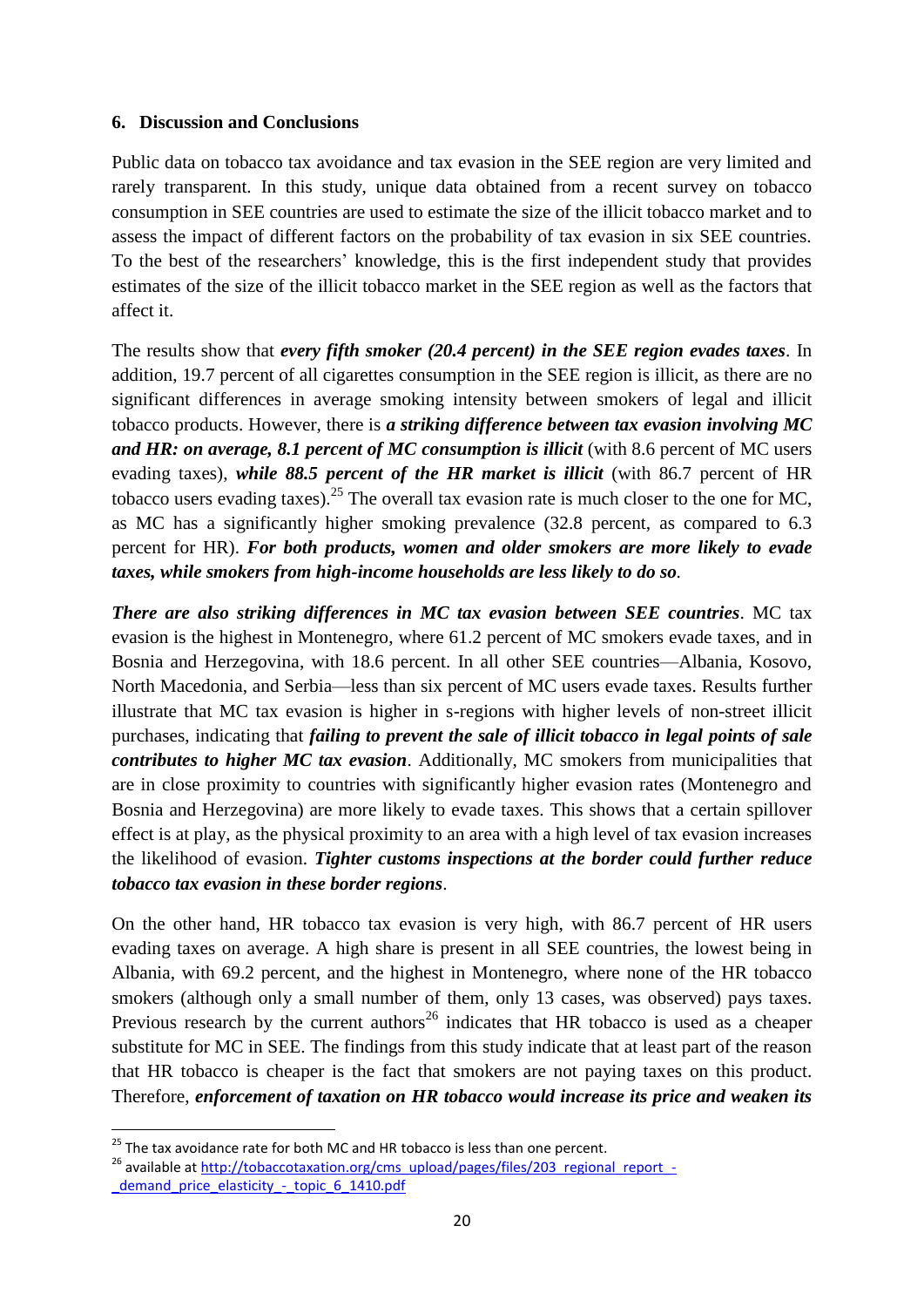# <span id="page-21-0"></span>**6. Discussion and Conclusions**

Public data on tobacco tax avoidance and tax evasion in the SEE region are very limited and rarely transparent. In this study, unique data obtained from a recent survey on tobacco consumption in SEE countries are used to estimate the size of the illicit tobacco market and to assess the impact of different factors on the probability of tax evasion in six SEE countries. To the best of the researchers' knowledge, this is the first independent study that provides estimates of the size of the illicit tobacco market in the SEE region as well as the factors that affect it.

The results show that *every fifth smoker (20.4 percent) in the SEE region evades taxes*. In addition, 19.7 percent of all cigarettes consumption in the SEE region is illicit, as there are no significant differences in average smoking intensity between smokers of legal and illicit tobacco products. However, there is *a striking difference between tax evasion involving MC and HR: on average, 8.1 percent of MC consumption is illicit* (with 8.6 percent of MC users evading taxes), *while 88.5 percent of the HR market is illicit* (with 86.7 percent of HR tobacco users evading taxes).<sup>25</sup> The overall tax evasion rate is much closer to the one for MC, as MC has a significantly higher smoking prevalence (32.8 percent, as compared to 6.3 percent for HR). *For both products, women and older smokers are more likely to evade taxes, while smokers from high-income households are less likely to do so.*

*There are also striking differences in MC tax evasion between SEE countries*. MC tax evasion is the highest in Montenegro, where 61.2 percent of MC smokers evade taxes, and in Bosnia and Herzegovina, with 18.6 percent. In all other SEE countries—Albania, Kosovo, North Macedonia, and Serbia—less than six percent of MC users evade taxes. Results further illustrate that MC tax evasion is higher in s-regions with higher levels of non-street illicit purchases, indicating that *failing to prevent the sale of illicit tobacco in legal points of sale contributes to higher MC tax evasion*. Additionally, MC smokers from municipalities that are in close proximity to countries with significantly higher evasion rates (Montenegro and Bosnia and Herzegovina) are more likely to evade taxes. This shows that a certain spillover effect is at play, as the physical proximity to an area with a high level of tax evasion increases the likelihood of evasion. *Tighter customs inspections at the border could further reduce tobacco tax evasion in these border regions*.

On the other hand, HR tobacco tax evasion is very high, with 86.7 percent of HR users evading taxes on average. A high share is present in all SEE countries, the lowest being in Albania, with 69.2 percent, and the highest in Montenegro, where none of the HR tobacco smokers (although only a small number of them, only 13 cases, was observed) pays taxes. Previous research by the current authors<sup>26</sup> indicates that HR tobacco is used as a cheaper substitute for MC in SEE. The findings from this study indicate that at least part of the reason that HR tobacco is cheaper is the fact that smokers are not paying taxes on this product. Therefore, *enforcement of taxation on HR tobacco would increase its price and weaken its*

 $^{25}$  The tax avoidance rate for both MC and HR tobacco is less than one percent.

<sup>&</sup>lt;sup>26</sup> available a[t http://tobaccotaxation.org/cms\\_upload/pages/files/203\\_regional\\_report\\_](http://tobaccotaxation.org/cms_upload/pages/files/203_regional_report_-_demand_price_elasticity_-_topic_6_1410.pdf) demand price elasticity - topic 6 1410.pdf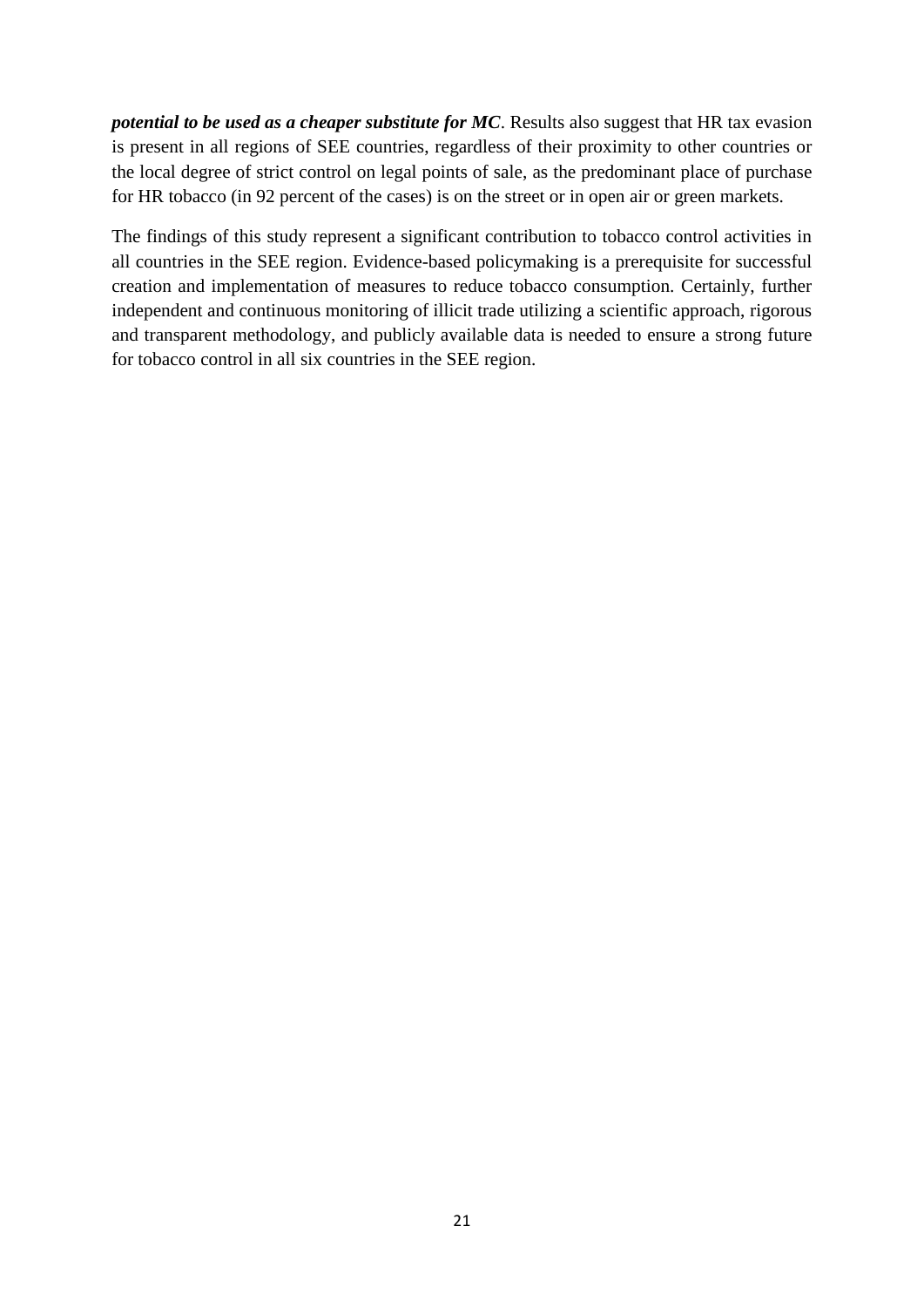*potential to be used as a cheaper substitute for MC*. Results also suggest that HR tax evasion is present in all regions of SEE countries, regardless of their proximity to other countries or the local degree of strict control on legal points of sale, as the predominant place of purchase for HR tobacco (in 92 percent of the cases) is on the street or in open air or green markets.

The findings of this study represent a significant contribution to tobacco control activities in all countries in the SEE region. Evidence-based policymaking is a prerequisite for successful creation and implementation of measures to reduce tobacco consumption. Certainly, further independent and continuous monitoring of illicit trade utilizing a scientific approach, rigorous and transparent methodology, and publicly available data is needed to ensure a strong future for tobacco control in all six countries in the SEE region.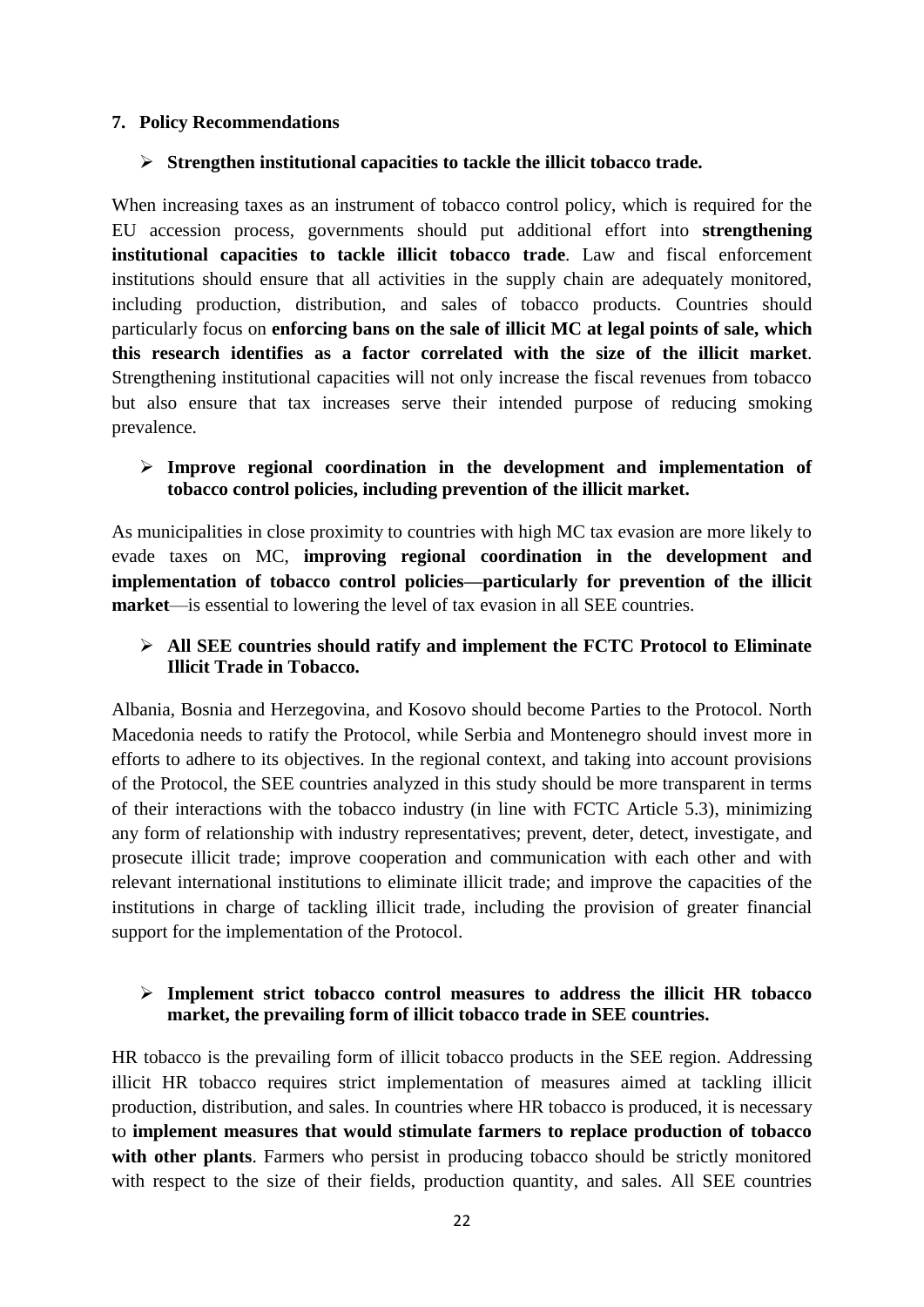# <span id="page-23-0"></span>**7. Policy Recommendations**

# **Strengthen institutional capacities to tackle the illicit tobacco trade.**

When increasing taxes as an instrument of tobacco control policy, which is required for the EU accession process, governments should put additional effort into **strengthening institutional capacities to tackle illicit tobacco trade**. Law and fiscal enforcement institutions should ensure that all activities in the supply chain are adequately monitored, including production, distribution, and sales of tobacco products. Countries should particularly focus on **enforcing bans on the sale of illicit MC at legal points of sale, which this research identifies as a factor correlated with the size of the illicit market**. Strengthening institutional capacities will not only increase the fiscal revenues from tobacco but also ensure that tax increases serve their intended purpose of reducing smoking prevalence.

# **Improve regional coordination in the development and implementation of tobacco control policies, including prevention of the illicit market.**

As municipalities in close proximity to countries with high MC tax evasion are more likely to evade taxes on MC, **improving regional coordination in the development and implementation of tobacco control policies—particularly for prevention of the illicit market**—is essential to lowering the level of tax evasion in all SEE countries.

# **All SEE countries should ratify and implement the FCTC Protocol to Eliminate Illicit Trade in Tobacco.**

Albania, Bosnia and Herzegovina, and Kosovo should become Parties to the Protocol. North Macedonia needs to ratify the Protocol, while Serbia and Montenegro should invest more in efforts to adhere to its objectives. In the regional context, and taking into account provisions of the Protocol, the SEE countries analyzed in this study should be more transparent in terms of their interactions with the tobacco industry (in line with FCTC Article 5.3), minimizing any form of relationship with industry representatives; prevent, deter, detect, investigate, and prosecute illicit trade; improve cooperation and communication with each other and with relevant international institutions to eliminate illicit trade; and improve the capacities of the institutions in charge of tackling illicit trade, including the provision of greater financial support for the implementation of the Protocol.

# **Implement strict tobacco control measures to address the illicit HR tobacco market, the prevailing form of illicit tobacco trade in SEE countries.**

HR tobacco is the prevailing form of illicit tobacco products in the SEE region. Addressing illicit HR tobacco requires strict implementation of measures aimed at tackling illicit production, distribution, and sales. In countries where HR tobacco is produced, it is necessary to **implement measures that would stimulate farmers to replace production of tobacco**  with other plants. Farmers who persist in producing tobacco should be strictly monitored with respect to the size of their fields, production quantity, and sales. All SEE countries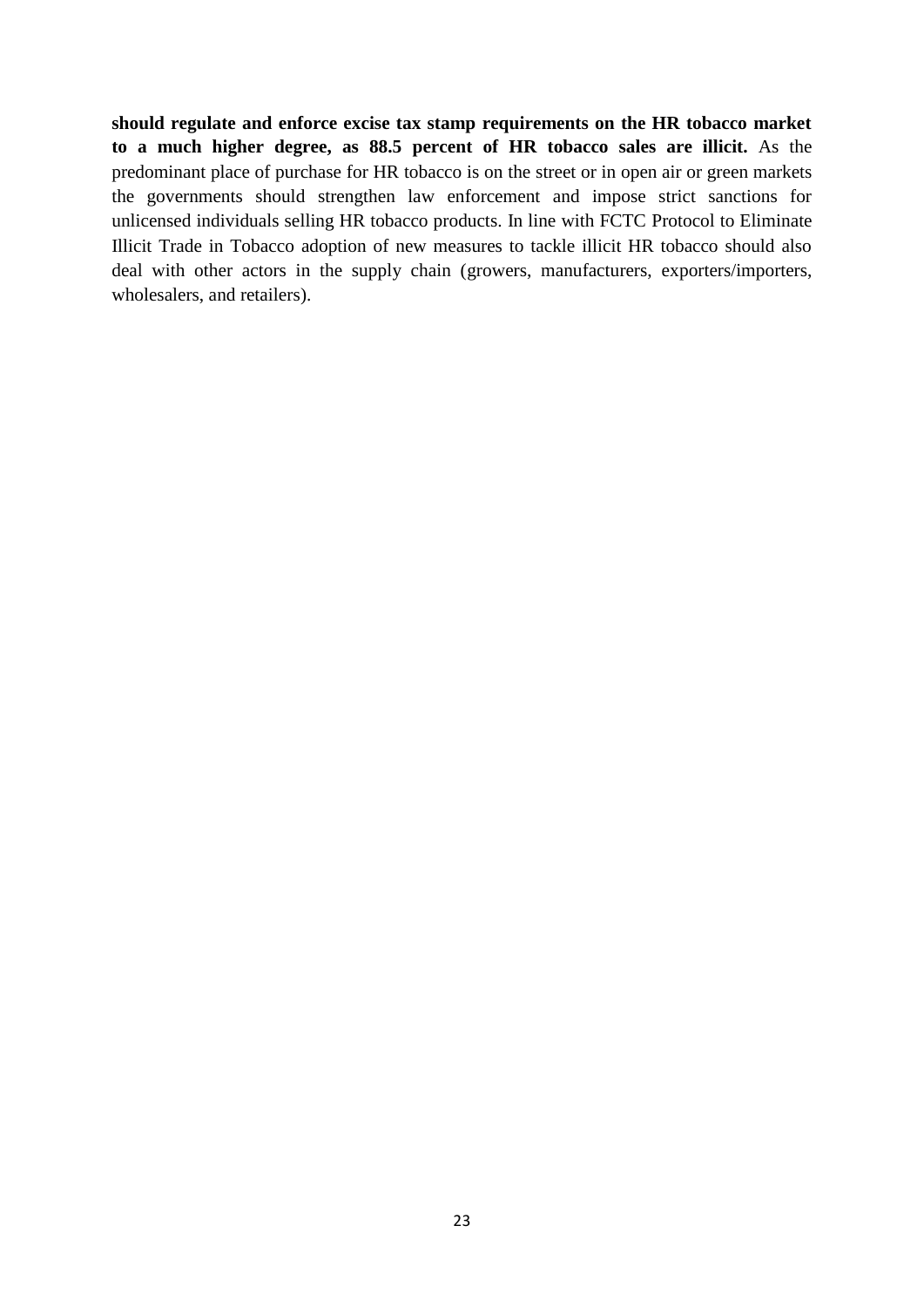**should regulate and enforce excise tax stamp requirements on the HR tobacco market to a much higher degree, as 88.5 percent of HR tobacco sales are illicit.** As the predominant place of purchase for HR tobacco is on the street or in open air or green markets the governments should strengthen law enforcement and impose strict sanctions for unlicensed individuals selling HR tobacco products. In line with FCTC Protocol to Eliminate Illicit Trade in Tobacco adoption of new measures to tackle illicit HR tobacco should also deal with other actors in the supply chain (growers, manufacturers, exporters/importers, wholesalers, and retailers).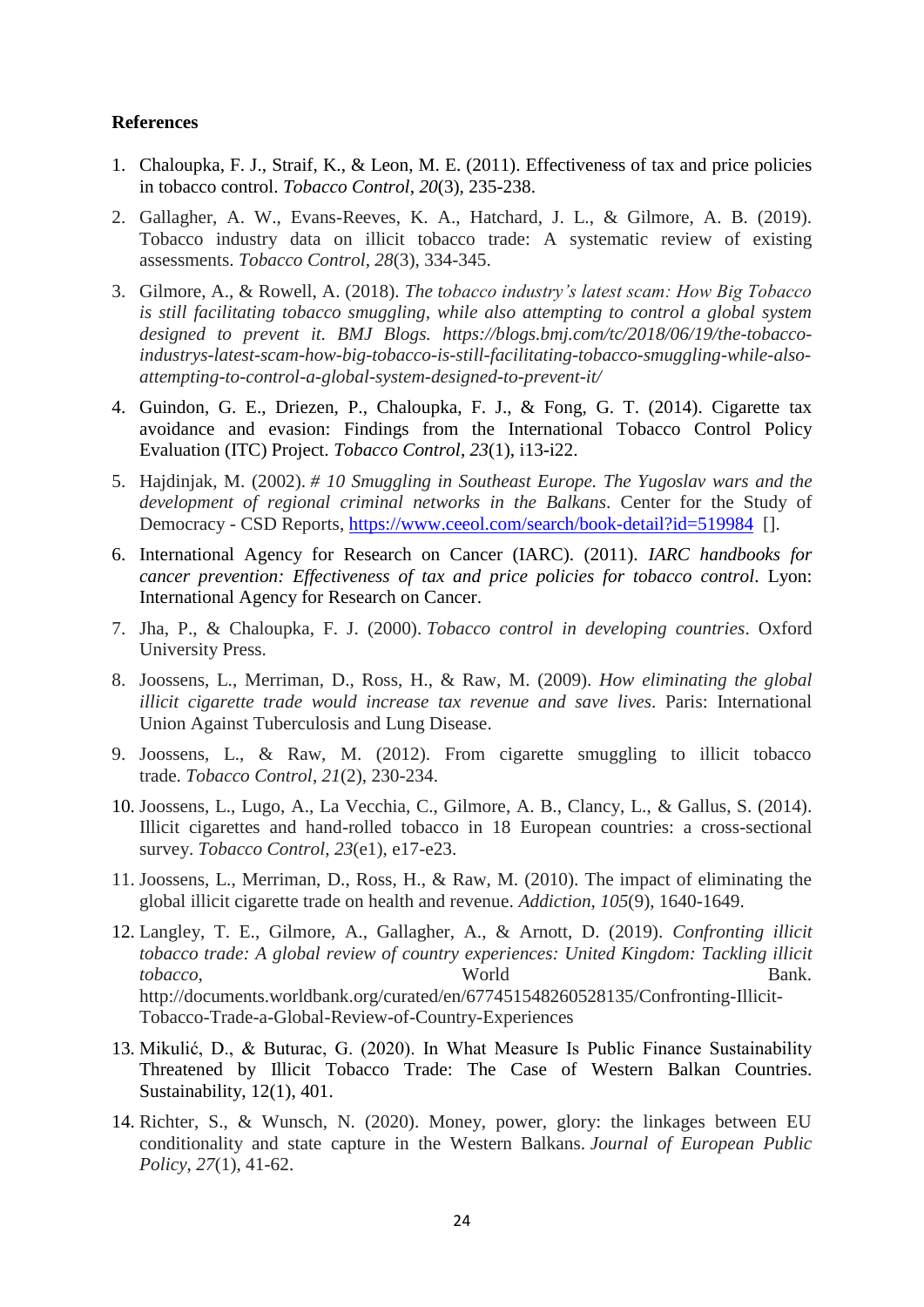#### **References**

- 1. Chaloupka, F. J., Straif, K., & Leon, M. E. (2011). Effectiveness of tax and price policies in tobacco control. *Tobacco Control*, *20*(3), 235-238.
- 2. Gallagher, A. W., Evans-Reeves, K. A., Hatchard, J. L., & Gilmore, A. B. (2019). Tobacco industry data on illicit tobacco trade: A systematic review of existing assessments. *Tobacco Control*, *28*(3), 334-345.
- 3. Gilmore, A., & Rowell, A. (2018). *The tobacco industry's latest scam: How Big Tobacco is still facilitating tobacco smuggling, while also attempting to control a global system designed to prevent it. BMJ Blogs. https://blogs.bmj.com/tc/2018/06/19/the-tobaccoindustrys-latest-scam-how-big-tobacco-is-still-facilitating-tobacco-smuggling-while-alsoattempting-to-control-a-global-system-designed-to-prevent-it/*
- 4. Guindon, G. E., Driezen, P., Chaloupka, F. J., & Fong, G. T. (2014). Cigarette tax avoidance and evasion: Findings from the International Tobacco Control Policy Evaluation (ITC) Project. *Tobacco Control*, *23*(1), i13-i22.
- 5. Hajdinjak, M. (2002). *# 10 Smuggling in Southeast Europe. The Yugoslav wars and the development of regional criminal networks in the Balkans*. Center for the Study of Democracy - CSD Reports,<https://www.ceeol.com/search/book-detail?id=519984> [].
- 6. International Agency for Research on Cancer (IARC). (2011). *IARC handbooks for cancer prevention: Effectiveness of tax and price policies for tobacco control*. Lyon: International Agency for Research on Cancer.
- 7. Jha, P., & Chaloupka, F. J. (2000). *Tobacco control in developing countries*. Oxford University Press.
- 8. Joossens, L., Merriman, D., Ross, H., & Raw, M. (2009). *How eliminating the global illicit cigarette trade would increase tax revenue and save lives*. Paris: International Union Against Tuberculosis and Lung Disease.
- 9. Joossens, L., & Raw, M. (2012). From cigarette smuggling to illicit tobacco trade. *Tobacco Control*, *21*(2), 230-234.
- 10. Joossens, L., Lugo, A., La Vecchia, C., Gilmore, A. B., Clancy, L., & Gallus, S. (2014). Illicit cigarettes and hand-rolled tobacco in 18 European countries: a cross-sectional survey. *Tobacco Control*, *23*(e1), e17-e23.
- 11. Joossens, L., Merriman, D., Ross, H., & Raw, M. (2010). The impact of eliminating the global illicit cigarette trade on health and revenue. *Addiction*, *105*(9), 1640-1649.
- 12. Langley, T. E., Gilmore, A., Gallagher, A., & Arnott, D. (2019). *Confronting illicit tobacco trade: A global review of country experiences: United Kingdom: Tackling illicit tobacco,* World Bank. http://documents.worldbank.org/curated/en/677451548260528135/Confronting-Illicit-Tobacco-Trade-a-Global-Review-of-Country-Experiences
- 13. Mikulić, D., & Buturac, G. (2020). In What Measure Is Public Finance Sustainability Threatened by Illicit Tobacco Trade: The Case of Western Balkan Countries. Sustainability, 12(1), 401.
- 14. Richter, S., & Wunsch, N. (2020). Money, power, glory: the linkages between EU conditionality and state capture in the Western Balkans. *Journal of European Public Policy*, *27*(1), 41-62.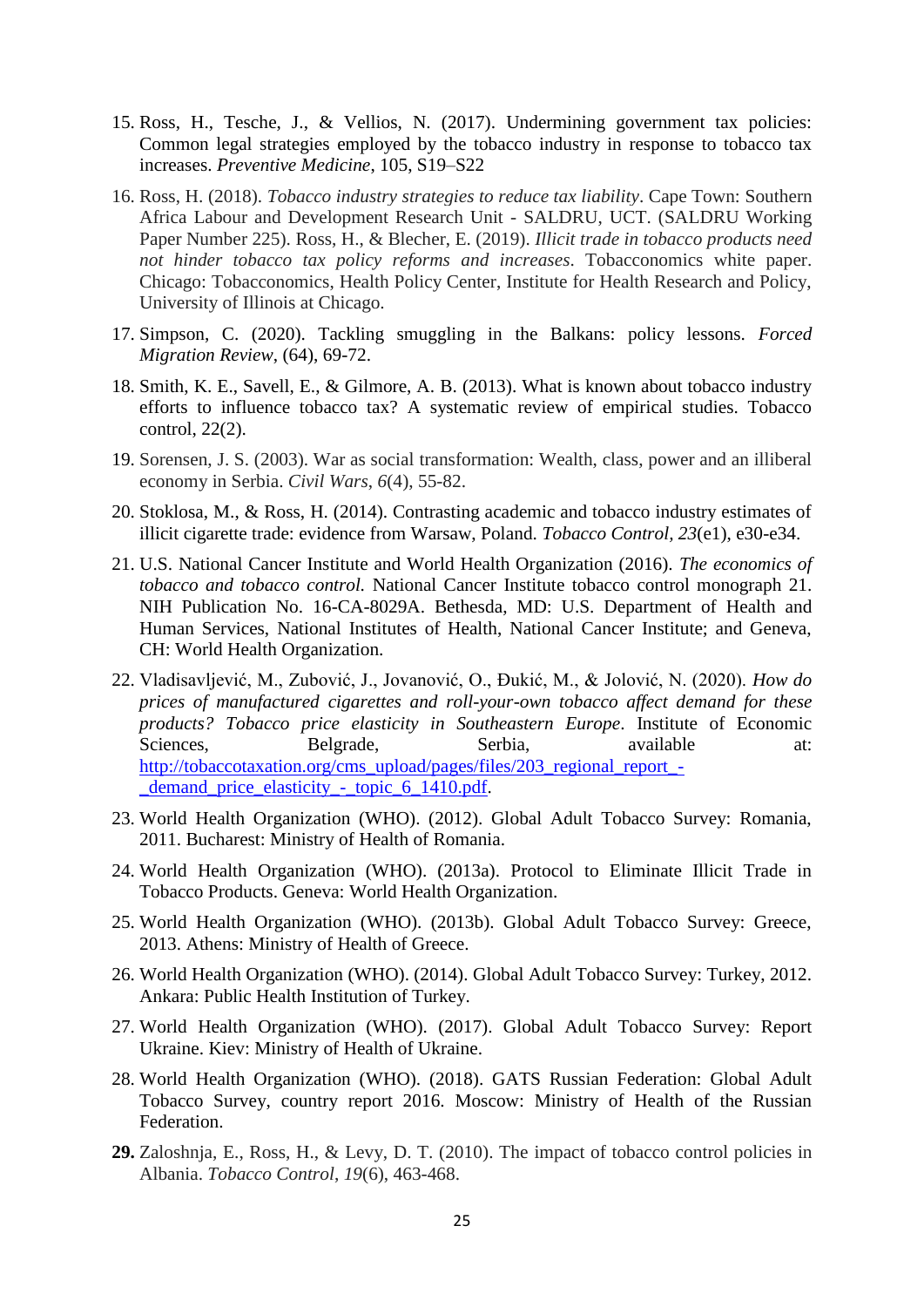- 15. Ross, H., Tesche, J., & Vellios, N. (2017). Undermining government tax policies: Common legal strategies employed by the tobacco industry in response to tobacco tax increases. *Preventive Medicine*, 105, S19–S22
- 16. Ross, H. (2018). *Tobacco industry strategies to reduce tax liability*. Cape Town: Southern Africa Labour and Development Research Unit - SALDRU, UCT. (SALDRU Working Paper Number 225). Ross, H., & Blecher, E. (2019). *Illicit trade in tobacco products need not hinder tobacco tax policy reforms and increases*. Tobacconomics white paper. Chicago: Tobacconomics, Health Policy Center, Institute for Health Research and Policy, University of Illinois at Chicago.
- 17. Simpson, C. (2020). Tackling smuggling in the Balkans: policy lessons. *Forced Migration Review*, (64), 69-72.
- 18. Smith, K. E., Savell, E., & Gilmore, A. B. (2013). What is known about tobacco industry efforts to influence tobacco tax? A systematic review of empirical studies. Tobacco control, 22(2).
- 19. Sorensen, J. S. (2003). War as social transformation: Wealth, class, power and an illiberal economy in Serbia. *Civil Wars*, *6*(4), 55-82.
- 20. Stoklosa, M., & Ross, H. (2014). Contrasting academic and tobacco industry estimates of illicit cigarette trade: evidence from Warsaw, Poland. *Tobacco Control, 23*(e1), e30-e34.
- 21. U.S. National Cancer Institute and World Health Organization (2016). *The economics of tobacco and tobacco control.* National Cancer Institute tobacco control monograph 21. NIH Publication No. 16-CA-8029A. Bethesda, MD: U.S. Department of Health and Human Services, National Institutes of Health, National Cancer Institute; and Geneva, CH: World Health Organization.
- 22. Vladisavljević, M., Zubović, J., Jovanović, O., Đukić, M., & Jolović, N. (2020). *How do prices of manufactured cigarettes and roll-your-own tobacco affect demand for these products? Tobacco price elasticity in Southeastern Europe*. Institute of Economic Sciences, Belgrade, Serbia, available at: [http://tobaccotaxation.org/cms\\_upload/pages/files/203\\_regional\\_report\\_-](http://tobaccotaxation.org/cms_upload/pages/files/203_regional_report_-_demand_price_elasticity_-_topic_6_1410.pdf) [\\_demand\\_price\\_elasticity\\_-\\_topic\\_6\\_1410.pdf.](http://tobaccotaxation.org/cms_upload/pages/files/203_regional_report_-_demand_price_elasticity_-_topic_6_1410.pdf)
- 23. World Health Organization (WHO). (2012). Global Adult Tobacco Survey: Romania, 2011. Bucharest: Ministry of Health of Romania.
- 24. World Health Organization (WHO). (2013a). Protocol to Eliminate Illicit Trade in Tobacco Products. Geneva: World Health Organization.
- 25. World Health Organization (WHO). (2013b). Global Adult Tobacco Survey: Greece, 2013. Athens: Ministry of Health of Greece.
- 26. World Health Organization (WHO). (2014). Global Adult Tobacco Survey: Turkey, 2012. Ankara: Public Health Institution of Turkey.
- 27. World Health Organization (WHO). (2017). Global Adult Tobacco Survey: Report Ukraine. Kiev: Ministry of Health of Ukraine.
- 28. World Health Organization (WHO). (2018). GATS Russian Federation: Global Adult Tobacco Survey, country report 2016. Moscow: Ministry of Health of the Russian Federation.
- **29.** Zaloshnja, E., Ross, H., & Levy, D. T. (2010). The impact of tobacco control policies in Albania. *Tobacco Control*, *19*(6), 463-468.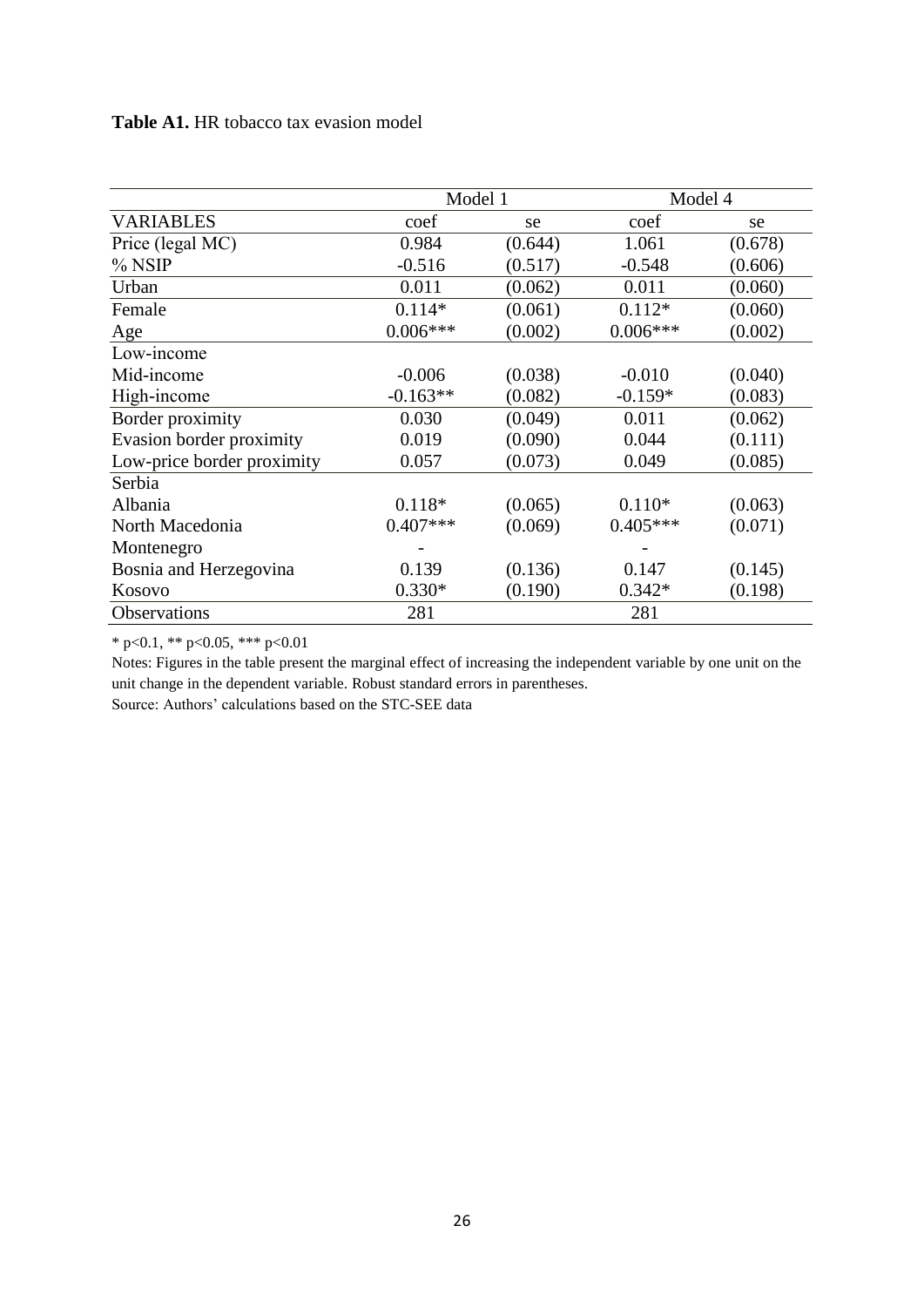# **Table A1.** HR tobacco tax evasion model

|                            | Model 1    |         | Model 4    |         |  |
|----------------------------|------------|---------|------------|---------|--|
| <b>VARIABLES</b>           | coef       | se      | coef       | se      |  |
| Price (legal MC)           | 0.984      | (0.644) | 1.061      | (0.678) |  |
| $%$ NSIP                   | $-0.516$   | (0.517) | $-0.548$   | (0.606) |  |
| Urban                      | 0.011      | (0.062) | 0.011      | (0.060) |  |
| Female                     | $0.114*$   | (0.061) | $0.112*$   | (0.060) |  |
| Age                        | $0.006***$ | (0.002) | $0.006***$ | (0.002) |  |
| Low-income                 |            |         |            |         |  |
| Mid-income                 | $-0.006$   | (0.038) | $-0.010$   | (0.040) |  |
| High-income                | $-0.163**$ | (0.082) | $-0.159*$  | (0.083) |  |
| Border proximity           | 0.030      | (0.049) | 0.011      | (0.062) |  |
| Evasion border proximity   | 0.019      | (0.090) | 0.044      | (0.111) |  |
| Low-price border proximity | 0.057      | (0.073) | 0.049      | (0.085) |  |
| Serbia                     |            |         |            |         |  |
| Albania                    | $0.118*$   | (0.065) | $0.110*$   | (0.063) |  |
| North Macedonia            | $0.407***$ | (0.069) | $0.405***$ | (0.071) |  |
| Montenegro                 |            |         |            |         |  |
| Bosnia and Herzegovina     | 0.139      | (0.136) | 0.147      | (0.145) |  |
| Kosovo                     | $0.330*$   | (0.190) | $0.342*$   | (0.198) |  |
| Observations               | 281        |         | 281        |         |  |

\* p<0.1, \*\* p<0.05, \*\*\* p<0.01

Notes: Figures in the table present the marginal effect of increasing the independent variable by one unit on the unit change in the dependent variable. Robust standard errors in parentheses. Source: Authors' calculations based on the STC-SEE data